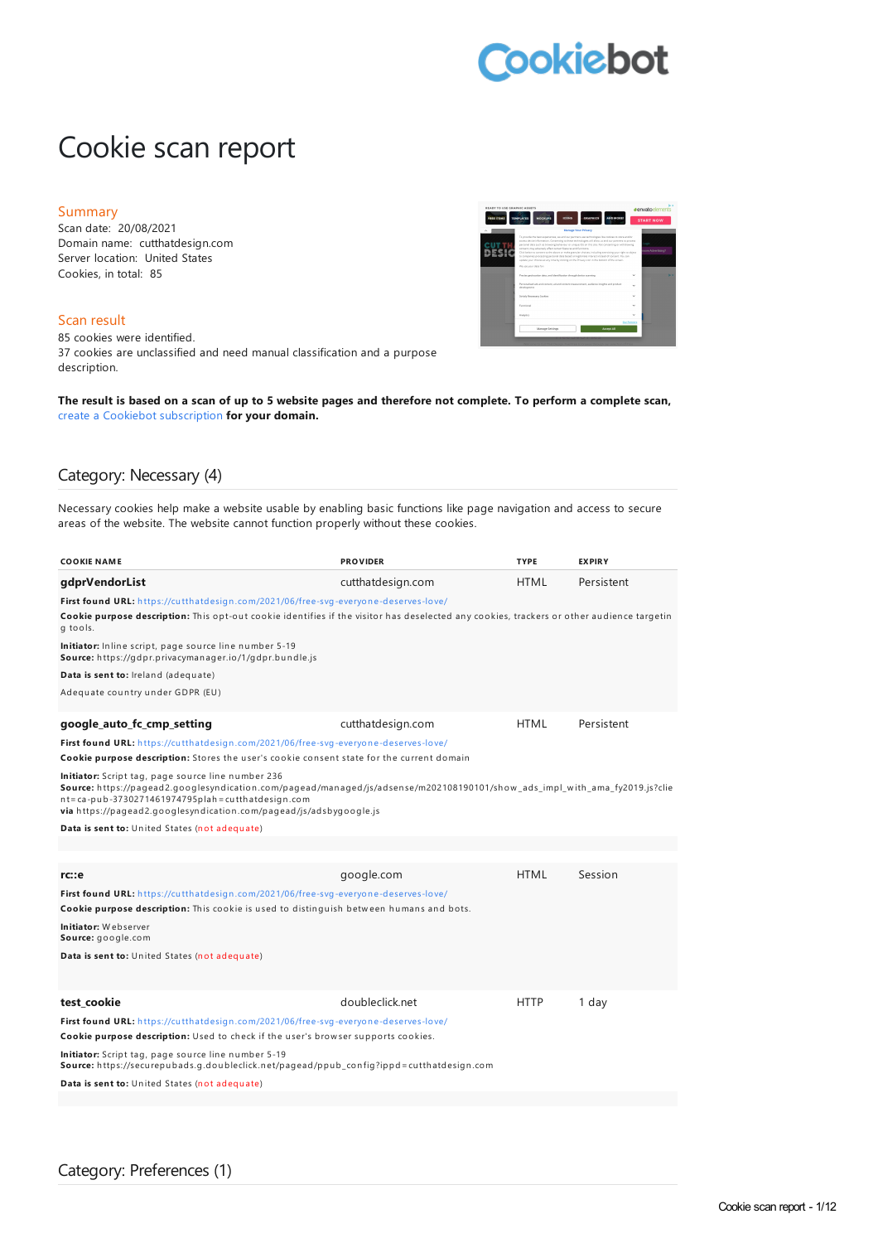# **Cookiebot**

# Cookie scan report

#### Summary

Scan date: 20/08/2021 Domain name: cutthatdesign.com Server location: United States Cookies, in total: 85

### Scan result

85 cookies were identified. 37 cookies are unclassified and need manual classification and a purpose description.

The result is based on a scan of up to 5 website pages and therefore not complete. To perform a complete scan, create a Cookiebot [subscription](https://manage.cookiebot.com/goto/signup) **for your domain.**

### Category: Necessary (4)

Necessary cookies help make a website usable by enabling basic functions like page navigation and access to secure areas of the website. The website cannot function properly without these cookies.

| <b>COOKIE NAME</b>                                                                                                                                                                                                                                                                                          | <b>PROVIDER</b>   | <b>TYPE</b> | <b>EXPIRY</b> |
|-------------------------------------------------------------------------------------------------------------------------------------------------------------------------------------------------------------------------------------------------------------------------------------------------------------|-------------------|-------------|---------------|
| gdprVendorList                                                                                                                                                                                                                                                                                              | cutthatdesign.com | <b>HTML</b> | Persistent    |
| First found URL: https://cutthatdesign.com/2021/06/free-svg-everyone-deserves-love/                                                                                                                                                                                                                         |                   |             |               |
| Cookie purpose description: This opt-out cookie identifies if the visitor has deselected any cookies, trackers or other audience targetin<br>g tools.                                                                                                                                                       |                   |             |               |
| Initiator: Inline script, page source line number 5-19<br>Source: https://gdpr.privacymanager.io/1/gdpr.bundle.js                                                                                                                                                                                           |                   |             |               |
| Data is sent to: Ireland (adequate)                                                                                                                                                                                                                                                                         |                   |             |               |
| Adequate country under GDPR (EU)                                                                                                                                                                                                                                                                            |                   |             |               |
| google auto fc cmp setting                                                                                                                                                                                                                                                                                  | cutthatdesign.com | <b>HTML</b> | Persistent    |
| First found URL: https://cutthatdesign.com/2021/06/free-svg-everyone-deserves-love/                                                                                                                                                                                                                         |                   |             |               |
| Cookie purpose description: Stores the user's cookie consent state for the current domain                                                                                                                                                                                                                   |                   |             |               |
| Initiator: Script tag, page source line number 236<br>Source: https://pagead2.googlesyndication.com/pagead/managed/js/adsense/m202108190101/show_ads_impl_with_ama_fy2019.js?clie<br>nt=ca-pub-3730271461974795plah=cutthatdesign.com<br>via https://pagead2.googlesyndication.com/pagead/js/adsbygoogle.js |                   |             |               |
| Data is sent to: United States (not adequate)                                                                                                                                                                                                                                                               |                   |             |               |
|                                                                                                                                                                                                                                                                                                             |                   |             |               |
|                                                                                                                                                                                                                                                                                                             |                   |             |               |
| rc::e                                                                                                                                                                                                                                                                                                       | google.com        | <b>HTML</b> | Session       |
| First found URL: https://cutthatdesign.com/2021/06/free-svg-everyone-deserves-love/<br>Cookie purpose description: This cookie is used to distinguish between humans and bots.                                                                                                                              |                   |             |               |
| Initiator: Webserver<br>Source: google.com                                                                                                                                                                                                                                                                  |                   |             |               |
| Data is sent to: United States (not adequate)                                                                                                                                                                                                                                                               |                   |             |               |
|                                                                                                                                                                                                                                                                                                             |                   |             |               |
| test cookie                                                                                                                                                                                                                                                                                                 | doubleclick.net   | <b>HTTP</b> | 1 day         |
| First found URL: https://cutthatdesign.com/2021/06/free-svg-everyone-deserves-love/                                                                                                                                                                                                                         |                   |             |               |
| Cookie purpose description: Used to check if the user's browser supports cookies.                                                                                                                                                                                                                           |                   |             |               |
| <b>Initiator:</b> Script tag, page source line number 5-19<br>Source: https://securepubads.g.doubleclick.net/pagead/ppub_config?ippd=cutthatdesign.com                                                                                                                                                      |                   |             |               |
| <b>Data is sent to:</b> United States (not adequate)                                                                                                                                                                                                                                                        |                   |             |               |
|                                                                                                                                                                                                                                                                                                             |                   |             |               |

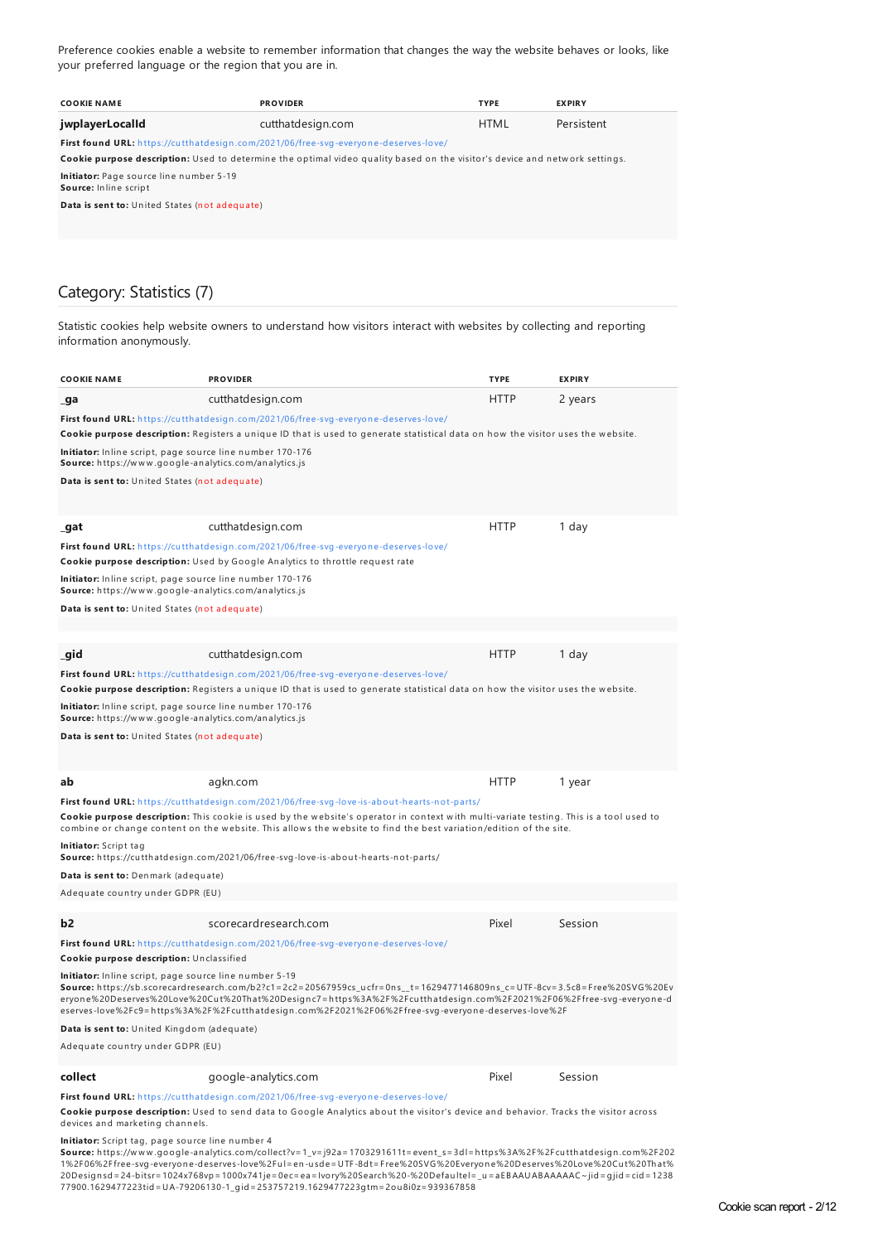Preference cookies enable a website to remember information that changes the way the website behaves or looks, like your preferred language or the region that you are in.

| <b>COOKIE NAME</b>                                                                         | <b>PROVIDER</b>                                                                                                             | <b>TYPE</b> | <b>EXPIRY</b> |  |  |
|--------------------------------------------------------------------------------------------|-----------------------------------------------------------------------------------------------------------------------------|-------------|---------------|--|--|
| jwplayerLocalld                                                                            | cutthatdesign.com                                                                                                           | <b>HTML</b> | Persistent    |  |  |
| <b>First found URL:</b> https://cutthatdesign.com/2021/06/free-syg-everyone-deserves-love/ |                                                                                                                             |             |               |  |  |
|                                                                                            | Cookie purpose description: Used to determine the optimal video quality based on the visitor's device and network settings. |             |               |  |  |
| Initiator: Page source line number 5-19<br>Source: Inline script                           |                                                                                                                             |             |               |  |  |
| Data is sent to: United States (not adequate)                                              |                                                                                                                             |             |               |  |  |
|                                                                                            |                                                                                                                             |             |               |  |  |

# Category: Statistics (7)

Statistic cookies help website owners to understand how visitors interact with websites by collecting and reporting information anonymously.

| <b>COOKIE NAME</b>                                                                                                                                                         | <b>PROVIDER</b>                                                                                                                                                                                                                                                                                                                                      | <b>TYPE</b> | <b>EXPIRY</b> |
|----------------------------------------------------------------------------------------------------------------------------------------------------------------------------|------------------------------------------------------------------------------------------------------------------------------------------------------------------------------------------------------------------------------------------------------------------------------------------------------------------------------------------------------|-------------|---------------|
| _ga                                                                                                                                                                        | cutthatdesign.com                                                                                                                                                                                                                                                                                                                                    | HTTP        | 2 years       |
| Initiator: Inline script, page source line number 170-176<br><b>Source:</b> https://www.google-analytics.com/analytics.js<br>Data is sent to: United States (not adequate) | First found URL: https://cutthatdesign.com/2021/06/free-svg-everyone-deserves-love/<br>Cookie purpose description: Registers a unique ID that is used to generate statistical data on how the visitor uses the website.                                                                                                                              |             |               |
| _gat                                                                                                                                                                       | cutthatdesign.com                                                                                                                                                                                                                                                                                                                                    | <b>HTTP</b> | 1 day         |
|                                                                                                                                                                            | First found URL: https://cutthatdesign.com/2021/06/free-svg-everyone-deserves-love/                                                                                                                                                                                                                                                                  |             |               |
|                                                                                                                                                                            | <b>Cookie purpose description:</b> Used by Google Analytics to throttle request rate                                                                                                                                                                                                                                                                 |             |               |
| Initiator: Inline script, page source line number 170-176<br><b>Source:</b> https://www.google-analytics.com/analytics.js                                                  |                                                                                                                                                                                                                                                                                                                                                      |             |               |
| Data is sent to: United States (not adequate)                                                                                                                              |                                                                                                                                                                                                                                                                                                                                                      |             |               |
|                                                                                                                                                                            |                                                                                                                                                                                                                                                                                                                                                      |             |               |
|                                                                                                                                                                            |                                                                                                                                                                                                                                                                                                                                                      |             |               |
| gid                                                                                                                                                                        | cutthatdesign.com                                                                                                                                                                                                                                                                                                                                    | HTTP        | 1 day         |
|                                                                                                                                                                            | First found URL: https://cutthatdesign.com/2021/06/free-svg-everyone-deserves-love/                                                                                                                                                                                                                                                                  |             |               |
|                                                                                                                                                                            | Cookie purpose description: Registers a unique ID that is used to generate statistical data on how the visitor uses the website.                                                                                                                                                                                                                     |             |               |
| Initiator: Inline script, page source line number 170-176<br>Source: https://www.google-analytics.com/analytics.js                                                         |                                                                                                                                                                                                                                                                                                                                                      |             |               |
| Data is sent to: United States (not adequate)                                                                                                                              |                                                                                                                                                                                                                                                                                                                                                      |             |               |
|                                                                                                                                                                            |                                                                                                                                                                                                                                                                                                                                                      |             |               |
|                                                                                                                                                                            |                                                                                                                                                                                                                                                                                                                                                      |             |               |
| ab                                                                                                                                                                         | agkn.com                                                                                                                                                                                                                                                                                                                                             | <b>HTTP</b> | 1 year        |
|                                                                                                                                                                            | First found URL: https://cutthatdesign.com/2021/06/free-svg-love-is-about-hearts-not-parts/                                                                                                                                                                                                                                                          |             |               |
|                                                                                                                                                                            | Cookie purpose description: This cookie is used by the website's operator in context with multi-variate testing. This is a tool used to<br>combine or change content on the website. This allows the website to find the best variation/edition of the site.                                                                                         |             |               |
| <b>Initiator:</b> Script tag                                                                                                                                               | Source: https://cutthatdesign.com/2021/06/free-svg-love-is-about-hearts-not-parts/                                                                                                                                                                                                                                                                   |             |               |
| Data is sent to: Denmark (adequate)                                                                                                                                        |                                                                                                                                                                                                                                                                                                                                                      |             |               |
| Adequate country under GDPR (EU)                                                                                                                                           |                                                                                                                                                                                                                                                                                                                                                      |             |               |
|                                                                                                                                                                            |                                                                                                                                                                                                                                                                                                                                                      |             |               |
| b2                                                                                                                                                                         | scorecardresearch.com                                                                                                                                                                                                                                                                                                                                | Pixel       | Session       |
| Cookie purpose description: Unclassified                                                                                                                                   | First found URL: https://cutthatdesign.com/2021/06/free-svg-everyone-deserves-love/                                                                                                                                                                                                                                                                  |             |               |
| Initiator: Inline script, page source line number 5-19                                                                                                                     | Source: https://sb.scorecardresearch.com/b2?c1=2c2=20567959cs_ucfr=0ns_t=1629477146809ns_c=UTF-8cv=3.5c8=Free%20SVG%20Ev<br>eryone%20Deserves%20Love%20Cut%20That%20Designc7=https%3A%2F%2Fcutthatdesign.com%2F2021%2F06%2Ffree-svg-everyone-d<br>eserves-love%2Fc9=https%3A%2F%2Fcutthatdesign.com%2F2021%2F06%2Ffree-svg-everyone-deserves-love%2F |             |               |
| Data is sent to: United Kingdom (adequate)                                                                                                                                 |                                                                                                                                                                                                                                                                                                                                                      |             |               |
| Adequate country under GDPR (EU)                                                                                                                                           |                                                                                                                                                                                                                                                                                                                                                      |             |               |
| collect                                                                                                                                                                    | google-analytics.com                                                                                                                                                                                                                                                                                                                                 | Pixel       | Session       |

#### **First found URL:** h ttps://cu tth atdesign [.com/2021/06/free-svg-everyon](https://cutthatdesign.com/2021/06/free-svg-everyone-deserves-love/) e-deserves-love/

**Cookie purpose description:** Used to send data to Google Analytics about the visitor's device and behavior. Tracks the visitor across devices and marketing channels.

<mark>Initiator:</mark> Script tag, page source line number 4<br>**Source:** https://www.google-analytics.com/collect?v=1\_v=j92a=1703291611t=event\_s=3dl=https%3A%2F%2Fcutthatdesign.com%2F202 1%2F06%2Ffree-svg-everyone-deserves-love%2Ful=en-usde=UTF-8dt=Free%20SVG%20Everyone%20Deserves%20Love%20Cut%20That%<br>20Designsd=24-bitsr=1024x768vp=1000x741je=0ec=ea=Ivory%20Search%20-%20Defaultel=\_u=aEBAAUABAAAAAC~jid=gjid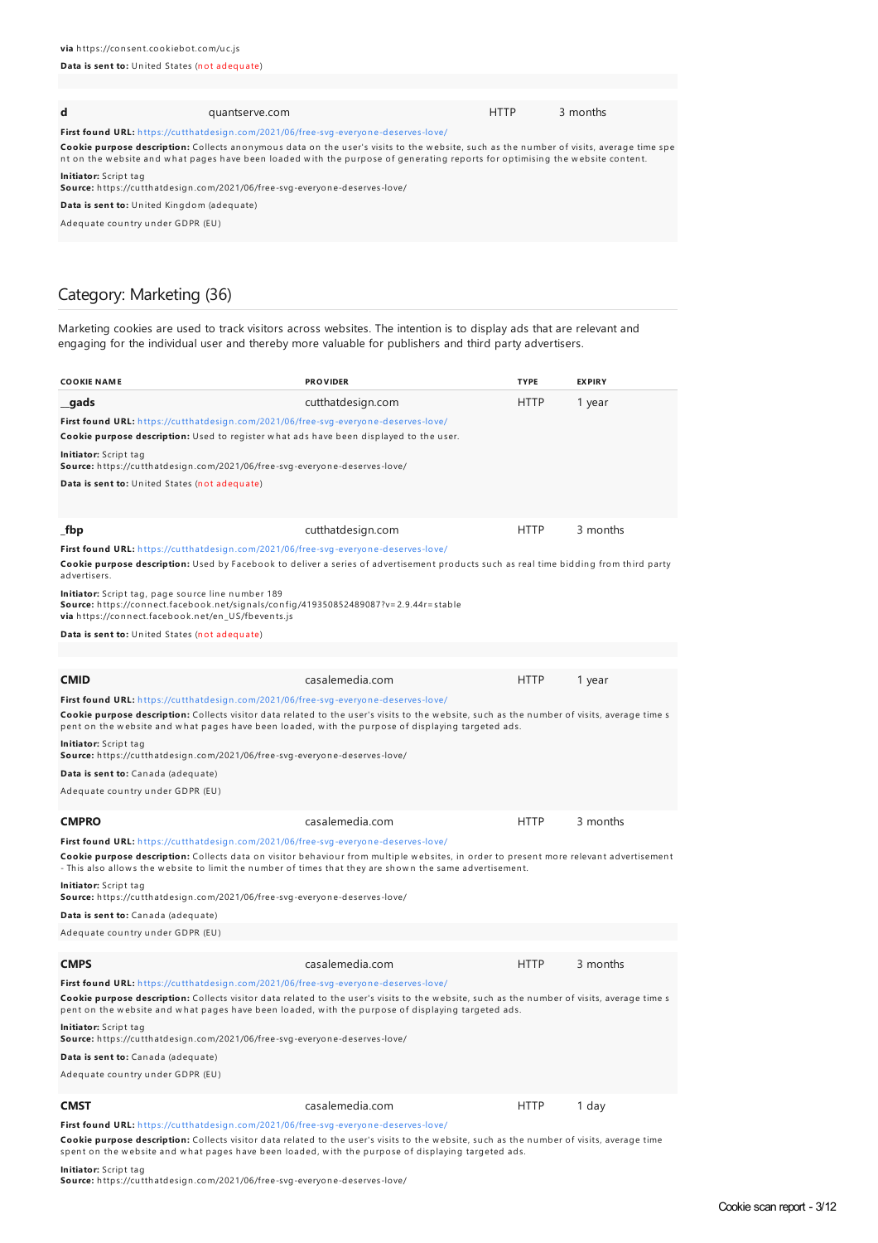#### **Data is sent to:** United States (not adequate)

| d                                                                                                                                                                                                                                                                       | quantserve.com                                                                             |  | <b>HTTP</b> | 3 months |
|-------------------------------------------------------------------------------------------------------------------------------------------------------------------------------------------------------------------------------------------------------------------------|--------------------------------------------------------------------------------------------|--|-------------|----------|
|                                                                                                                                                                                                                                                                         | <b>First found URL:</b> https://cutthatdesign.com/2021/06/free-svg-everyone-deserves-love/ |  |             |          |
| Cookie purpose description: Collects anonymous data on the user's visits to the website, such as the number of visits, average time spe<br>nt on the website and what pages have been loaded with the purpose of generating reports for optimising the website content. |                                                                                            |  |             |          |
| Initiator: Script tag                                                                                                                                                                                                                                                   | Source: https://cutthatdesign.com/2021/06/free-svg-everyone-deserves-love/                 |  |             |          |
| Data is sent to: United Kingdom (adequate)                                                                                                                                                                                                                              |                                                                                            |  |             |          |
| Adequate country under GDPR (EU)                                                                                                                                                                                                                                        |                                                                                            |  |             |          |
|                                                                                                                                                                                                                                                                         |                                                                                            |  |             |          |

# Category: Marketing (36)

Marketing cookies are used to track visitors across websites. The intention is to display ads that are relevant and engaging for the individual user and thereby more valuable for publishers and third party advertisers.

| COOKIE NAME                                                                                                                                                                                                                                                                                                                             | <b>PROVIDER</b>   | <b>TYPE</b> | <b>EXPIRY</b> |
|-----------------------------------------------------------------------------------------------------------------------------------------------------------------------------------------------------------------------------------------------------------------------------------------------------------------------------------------|-------------------|-------------|---------------|
| gads                                                                                                                                                                                                                                                                                                                                    | cutthatdesign.com | <b>HTTP</b> | 1 year        |
| First found URL: https://cutthatdesign.com/2021/06/free-svg-everyone-deserves-love/                                                                                                                                                                                                                                                     |                   |             |               |
| Cookie purpose description: Used to register what ads have been displayed to the user.                                                                                                                                                                                                                                                  |                   |             |               |
| Initiator: Script tag<br>Source: https://cutthatdesign.com/2021/06/free-svg-everyone-deserves-love/                                                                                                                                                                                                                                     |                   |             |               |
| Data is sent to: United States (not adequate)                                                                                                                                                                                                                                                                                           |                   |             |               |
|                                                                                                                                                                                                                                                                                                                                         |                   |             |               |
|                                                                                                                                                                                                                                                                                                                                         |                   |             |               |
| fbp                                                                                                                                                                                                                                                                                                                                     | cutthatdesign.com | <b>HTTP</b> | 3 months      |
| First found URL: https://cutthatdesign.com/2021/06/free-svg-everyone-deserves-love/                                                                                                                                                                                                                                                     |                   |             |               |
| Cookie purpose description: Used by Facebook to deliver a series of advertisement products such as real time bidding from third party<br>advertisers.                                                                                                                                                                                   |                   |             |               |
| Initiator: Script tag, page source line number 189<br>Source: https://connect.facebook.net/signals/config/419350852489087?v=2.9.44r=stable<br><b>via</b> https://connect.facebook.net/en US/fbevents.js                                                                                                                                 |                   |             |               |
| Data is sent to: United States (not adequate)                                                                                                                                                                                                                                                                                           |                   |             |               |
|                                                                                                                                                                                                                                                                                                                                         |                   |             |               |
|                                                                                                                                                                                                                                                                                                                                         |                   |             |               |
| CMID                                                                                                                                                                                                                                                                                                                                    | casalemedia.com   | <b>HTTP</b> | 1 year        |
| First found URL: https://cutthatdesign.com/2021/06/free-svg-everyone-deserves-love/<br>Cookie purpose description: Collects visitor data related to the user's visits to the website, such as the number of visits, average time s<br>pent on the website and what pages have been loaded, with the purpose of displaying targeted ads. |                   |             |               |
| Initiator: Script tag<br>Source: https://cutthatdesign.com/2021/06/free-svg-everyone-deserves-love/                                                                                                                                                                                                                                     |                   |             |               |
| Data is sent to: Canada (adequate)                                                                                                                                                                                                                                                                                                      |                   |             |               |
| Adequate country under GDPR (EU)                                                                                                                                                                                                                                                                                                        |                   |             |               |
|                                                                                                                                                                                                                                                                                                                                         |                   |             |               |
| <b>CMPRO</b>                                                                                                                                                                                                                                                                                                                            | casalemedia.com   | <b>HTTP</b> | 3 months      |
| First found URL: https://cutthatdesign.com/2021/06/free-svg-everyone-deserves-love/                                                                                                                                                                                                                                                     |                   |             |               |
| Cookie purpose description: Collects data on visitor behaviour from multiple websites, in order to present more relevant advertisement<br>- This also allows the website to limit the number of times that they are shown the same advertisement.                                                                                       |                   |             |               |
| <b>Initiator:</b> Script tag<br>Source: https://cutthatdesign.com/2021/06/free-svg-everyone-deserves-love/                                                                                                                                                                                                                              |                   |             |               |
| Data is sent to: Canada (adequate)                                                                                                                                                                                                                                                                                                      |                   |             |               |
| Adequate country under GDPR (EU)                                                                                                                                                                                                                                                                                                        |                   |             |               |
|                                                                                                                                                                                                                                                                                                                                         |                   |             |               |
| CMPS                                                                                                                                                                                                                                                                                                                                    | casalemedia.com   | <b>HTTP</b> | 3 months      |
| First found URL: https://cutthatdesign.com/2021/06/free-svg-everyone-deserves-love/                                                                                                                                                                                                                                                     |                   |             |               |
| Cookie purpose description: Collects visitor data related to the user's visits to the website, such as the number of visits, average time s<br>pent on the website and what pages have been loaded, with the purpose of displaying targeted ads.                                                                                        |                   |             |               |
| Initiator: Script tag<br><b>Source:</b> https://cutthatdesign.com/2021/06/free-svg-everyone-deserves-love/                                                                                                                                                                                                                              |                   |             |               |
| Data is sent to: Canada (adequate)                                                                                                                                                                                                                                                                                                      |                   |             |               |
| Adequate country under GDPR (EU)                                                                                                                                                                                                                                                                                                        |                   |             |               |
|                                                                                                                                                                                                                                                                                                                                         |                   |             |               |
| CMST                                                                                                                                                                                                                                                                                                                                    | casalemedia.com   | <b>HTTP</b> | 1 day         |
| <b>First found URL:</b> https://cutthatdesign.com/2021/06/free-svg-everyone-deserves-love/                                                                                                                                                                                                                                              |                   |             |               |

Cookie purpose description: Collects visitor data related to the user's visits to the website, such as the number of visits, average time spent on the website and what pages have been loaded, with the purpose of displaying targeted ads.

**Initiator:** Script tag

**Source:** h ttps://cu tth atdesign .com/2021/06/free-svg-everyon e-deserves-love/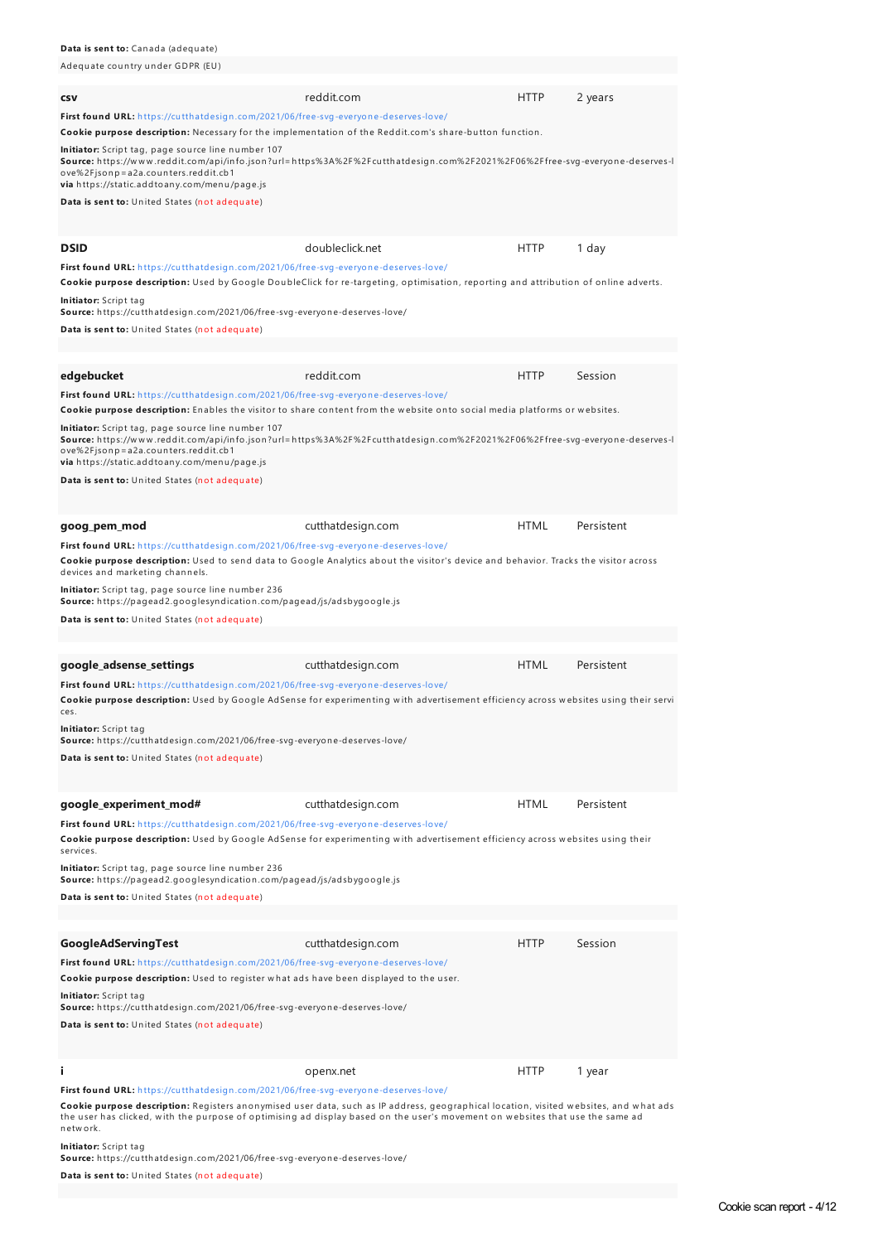Adequ ate cou n try u n der GDPR (EU) **csv reddit.com HTTP** 2 years **First found URL:** h ttps://cu tth atdesign [.com/2021/06/free-svg-everyon](https://cutthatdesign.com/2021/06/free-svg-everyone-deserves-love/) e-deserves-love/ **Cookie purpose description:** Necessary for the implementation of the Reddit.com's share-button function **Initiator:** Script tag, page source line number 107 **Source:** h ttps://w w w .reddit.com/api/in fo.json ?u rl=h ttps%3A%2F%2Fcu tth atdesign .com%2F2021%2F06%2Ffree-svg-everyon e-deserves-l ove%2Fjson p=a2a.counters.reddit.cb1 **via** h ttps://static.addtoan y.com/men u /page.js **Data is sent to:** United States (not adequate) **DSID DSID doubleclick.net HTTP** 1 day **First found URL:** h ttps://cu tth atdesign [.com/2021/06/free-svg-everyon](https://cutthatdesign.com/2021/06/free-svg-everyone-deserves-love/) e-deserves-love/ Cookie purpose description: Used by Google DoubleClick for re-targeting, optimisation, reporting and attribution of online adverts. **Initiator:** Script tag **Source:** h ttps://cu tth atdesign .com/2021/06/free-svg-everyon e-deserves-love/ **Data is sent to:** United States (not adequate) **edgebucket** reddit.com HTTP Session **First found URL:** h ttps://cu tth atdesign [.com/2021/06/free-svg-everyon](https://cutthatdesign.com/2021/06/free-svg-everyone-deserves-love/) e-deserves-love/ Cookie purpose description: Enables the visitor to share content from the website onto social media platforms or websites. **Initiator:** Script tag, page source line number 107 **Source:** h ttps://w w w .reddit.com/api/in fo.json ?u rl=h ttps%3A%2F%2Fcu tth atdesign .com%2F2021%2F06%2Ffree-svg-everyon e-deserves-l ove%2Fjson p=a2a.cou n ters.reddit.cb1 **via** h ttps://static.addtoan y.com/men u /page.js **Data is sent to:** United States (not adequate) **goog\_pem\_mod** cutthatdesign.com HTML Persistent **First found URL:** h ttps://cu tth atdesign [.com/2021/06/free-svg-everyon](https://cutthatdesign.com/2021/06/free-svg-everyone-deserves-love/) e-deserves-love/ **Cookie purpose description:** Used to send data to Google Analytics about the visitor's device and behavior. Tracks the visitor across devices and marketing channels. Initiator: Script tag, page source line number 236 **Source:** h ttps://pagead2.googlesyn dication .com/pagead/js/adsbygoogle.js **Data is sent to:** United States (not adequate) **google\_adsense\_settings** cutthatdesign.com HTML Persistent **First found URL:** h ttps://cu tth atdesign [.com/2021/06/free-svg-everyon](https://cutthatdesign.com/2021/06/free-svg-everyone-deserves-love/) e-deserves-love/ Cookie purpose description: Used by Google AdSense for experimenting with advertisement efficiency across websites using their servi ces. **Initiator:** Script tag **Source:** h ttps://cu tth atdesign .com/2021/06/free-svg-everyon e-deserves-love/ **Data** is sent to: United States (not adequate) **google\_experiment\_mod#** cutthatdesign.com HTML Persistent **First found URL:** h ttps://cu tth atdesign [.com/2021/06/free-svg-everyon](https://cutthatdesign.com/2021/06/free-svg-everyone-deserves-love/) e-deserves-love/ **Cookie purpose description:** Used by Google AdSense for experimenting with advertisement efficiency across websites using their services. **Initiator:** Script tag, page source line number 236 **Source:** h ttps://pagead2.googlesyn dication .com/pagead/js/adsbygoogle.js **Data** is sent to: United States (not adequate) **GoogleAdServingTest** entertainment cutthatdesign.com **HTTP** Session **First found URL:** h ttps://cu tth atdesign [.com/2021/06/free-svg-everyon](https://cutthatdesign.com/2021/06/free-svg-everyone-deserves-love/) e-deserves-love/ **Cookie purpose description:** Used to register what ads have been displayed to the user. **Initiator:** Script tag **Source:** h ttps://cu tth atdesign .com/2021/06/free-svg-everyon e-deserves-love/ **Data is sent to:** United States (not adequate) **i i** openx.net **https://windo**t.com/induction-community/induction-community-community-community-community-community-community-community-community-community-community-community-community-community-community-community-com **First found URL:** h ttps://cu tth atdesign [.com/2021/06/free-svg-everyon](https://cutthatdesign.com/2021/06/free-svg-everyone-deserves-love/) e-deserves-love/ Cookie purpose description: Registers anonymised user data, such as IP address, geographical location, visited websites, and what ads the user has clicked, with the purpose of optimising ad display based on the user's movement on websites that use the same ad

**Initiator:** Script tag

n etw ork.

**Source:** h ttps://cu tth atdesign .com/2021/06/free-svg-everyon e-deserves-love/

**Data is sent to:** United States (not adequate)

**Data** is sent to: Canada (adequate)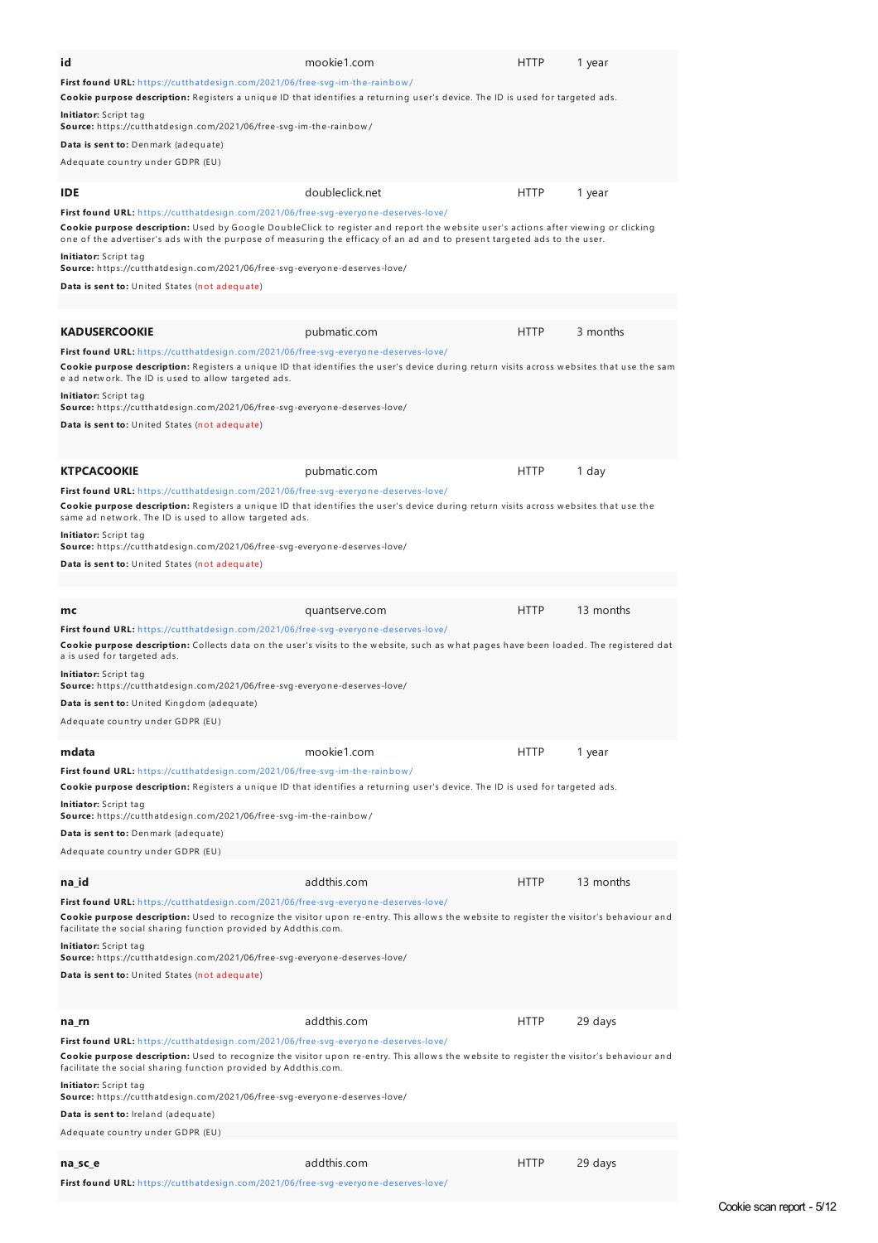| id                                                                                                                                                                                                                                                             | mookie1.com     | <b>HTTP</b> | 1 year    |
|----------------------------------------------------------------------------------------------------------------------------------------------------------------------------------------------------------------------------------------------------------------|-----------------|-------------|-----------|
| First found URL: https://cutthatdesign.com/2021/06/free-svg-im-the-rainbow/                                                                                                                                                                                    |                 |             |           |
| Cookie purpose description: Registers a unique ID that identifies a returning user's device. The ID is used for targeted ads.                                                                                                                                  |                 |             |           |
| Initiator: Script tag                                                                                                                                                                                                                                          |                 |             |           |
| Source: https://cutthatdesign.com/2021/06/free-svg-im-the-rainbow/                                                                                                                                                                                             |                 |             |           |
| Data is sent to: Denmark (adequate)                                                                                                                                                                                                                            |                 |             |           |
| Adequate country under GDPR (EU)                                                                                                                                                                                                                               |                 |             |           |
|                                                                                                                                                                                                                                                                | doubleclick.net |             |           |
| IDE.                                                                                                                                                                                                                                                           |                 | <b>HTTP</b> | 1 year    |
| First found URL: https://cutthatdesign.com/2021/06/free-svg-everyone-deserves-love/                                                                                                                                                                            |                 |             |           |
| Cookie purpose description: Used by Google DoubleClick to register and report the website user's actions after viewing or clicking<br>one of the advertiser's ads with the purpose of measuring the efficacy of an ad and to present targeted ads to the user. |                 |             |           |
| Initiator: Script tag                                                                                                                                                                                                                                          |                 |             |           |
| <b>Source:</b> https://cutthatdesign.com/2021/06/free-svg-everyone-deserves-love/                                                                                                                                                                              |                 |             |           |
| Data is sent to: United States (not adequate)                                                                                                                                                                                                                  |                 |             |           |
|                                                                                                                                                                                                                                                                |                 |             |           |
|                                                                                                                                                                                                                                                                |                 |             |           |
| <b>KADUSERCOOKIE</b>                                                                                                                                                                                                                                           | pubmatic.com    | <b>HTTP</b> | 3 months  |
| First found URL: https://cutthatdesign.com/2021/06/free-svg-everyone-deserves-love/                                                                                                                                                                            |                 |             |           |
| Cookie purpose description: Registers a unique ID that identifies the user's device during return visits across websites that use the sam                                                                                                                      |                 |             |           |
| e ad network. The ID is used to allow targeted ads.                                                                                                                                                                                                            |                 |             |           |
| Initiator: Script tag<br>Source: https://cutthatdesign.com/2021/06/free-svg-everyone-deserves-love/                                                                                                                                                            |                 |             |           |
| Data is sent to: United States (not adequate)                                                                                                                                                                                                                  |                 |             |           |
|                                                                                                                                                                                                                                                                |                 |             |           |
|                                                                                                                                                                                                                                                                |                 |             |           |
| <b>KTPCACOOKIE</b>                                                                                                                                                                                                                                             | pubmatic.com    | <b>HTTP</b> | 1 day     |
| First found URL: https://cutthatdesign.com/2021/06/free-svg-everyone-deserves-love/                                                                                                                                                                            |                 |             |           |
| Cookie purpose description: Registers a unique ID that identifies the user's device during return visits across websites that use the                                                                                                                          |                 |             |           |
| same ad network. The ID is used to allow targeted ads.                                                                                                                                                                                                         |                 |             |           |
| Initiator: Script tag<br>Source: https://cutthatdesign.com/2021/06/free-svg-everyone-deserves-love/                                                                                                                                                            |                 |             |           |
|                                                                                                                                                                                                                                                                |                 |             |           |
| Data is sent to: United States (not adequate)                                                                                                                                                                                                                  |                 |             |           |
|                                                                                                                                                                                                                                                                |                 |             |           |
| mc                                                                                                                                                                                                                                                             | quantserve.com  | <b>HTTP</b> | 13 months |
| First found URL: https://cutthatdesign.com/2021/06/free-svg-everyone-deserves-love/                                                                                                                                                                            |                 |             |           |
| Cookie purpose description: Collects data on the user's visits to the website, such as what pages have been loaded. The registered dat                                                                                                                         |                 |             |           |
| a is used for targeted ads.                                                                                                                                                                                                                                    |                 |             |           |
| Initiator: Script tag                                                                                                                                                                                                                                          |                 |             |           |
| Source: https://cutthatdesign.com/2021/06/free-svg-everyone-deserves-love/                                                                                                                                                                                     |                 |             |           |
| Data is sent to: United Kingdom (adequate)                                                                                                                                                                                                                     |                 |             |           |
| Adequate country under GDPR (EU)                                                                                                                                                                                                                               |                 |             |           |
|                                                                                                                                                                                                                                                                |                 |             |           |
| mdata                                                                                                                                                                                                                                                          | mookie1.com     | <b>HTTP</b> | 1 year    |
| First found URL: https://cutthatdesign.com/2021/06/free-svg-im-the-rainbow/                                                                                                                                                                                    |                 |             |           |
| Cookie purpose description: Registers a unique ID that identifies a returning user's device. The ID is used for targeted ads.                                                                                                                                  |                 |             |           |
|                                                                                                                                                                                                                                                                |                 |             |           |
| Initiator: Script tag                                                                                                                                                                                                                                          |                 |             |           |
| Source: https://cutthatdesign.com/2021/06/free-svg-im-the-rainbow/                                                                                                                                                                                             |                 |             |           |
| Data is sent to: Denmark (adequate)                                                                                                                                                                                                                            |                 |             |           |
| Adequate country under GDPR (EU)                                                                                                                                                                                                                               |                 |             |           |
|                                                                                                                                                                                                                                                                | addthis.com     |             |           |
| na id                                                                                                                                                                                                                                                          |                 | <b>HTTP</b> | 13 months |
| First found URL: https://cutthatdesign.com/2021/06/free-svg-everyone-deserves-love/                                                                                                                                                                            |                 |             |           |
| Cookie purpose description: Used to recognize the visitor upon re-entry. This allows the website to register the visitor's behaviour and<br>facilitate the social sharing function provided by Addthis.com.                                                    |                 |             |           |
| Initiator: Script tag                                                                                                                                                                                                                                          |                 |             |           |
| Source: https://cutthatdesign.com/2021/06/free-svg-everyone-deserves-love/                                                                                                                                                                                     |                 |             |           |
| Data is sent to: United States (not adequate)                                                                                                                                                                                                                  |                 |             |           |
|                                                                                                                                                                                                                                                                |                 |             |           |
|                                                                                                                                                                                                                                                                |                 |             |           |
| na_rn                                                                                                                                                                                                                                                          | addthis.com     | <b>HTTP</b> | 29 days   |
| First found URL: https://cutthatdesign.com/2021/06/free-svg-everyone-deserves-love/                                                                                                                                                                            |                 |             |           |
| Cookie purpose description: Used to recognize the visitor upon re-entry. This allows the website to register the visitor's behaviour and                                                                                                                       |                 |             |           |
| facilitate the social sharing function provided by Addthis.com.                                                                                                                                                                                                |                 |             |           |
| Initiator: Script tag<br>Source: https://cutthatdesign.com/2021/06/free-svg-everyone-deserves-love/                                                                                                                                                            |                 |             |           |
| Data is sent to: Ireland (adequate)                                                                                                                                                                                                                            |                 |             |           |
| Adequate country under GDPR (EU)                                                                                                                                                                                                                               |                 |             |           |
|                                                                                                                                                                                                                                                                |                 |             |           |

**First found URL:** h ttps://cu tth atdesign [.com/2021/06/free-svg-everyon](https://cutthatdesign.com/2021/06/free-svg-everyone-deserves-love/) e-deserves-love/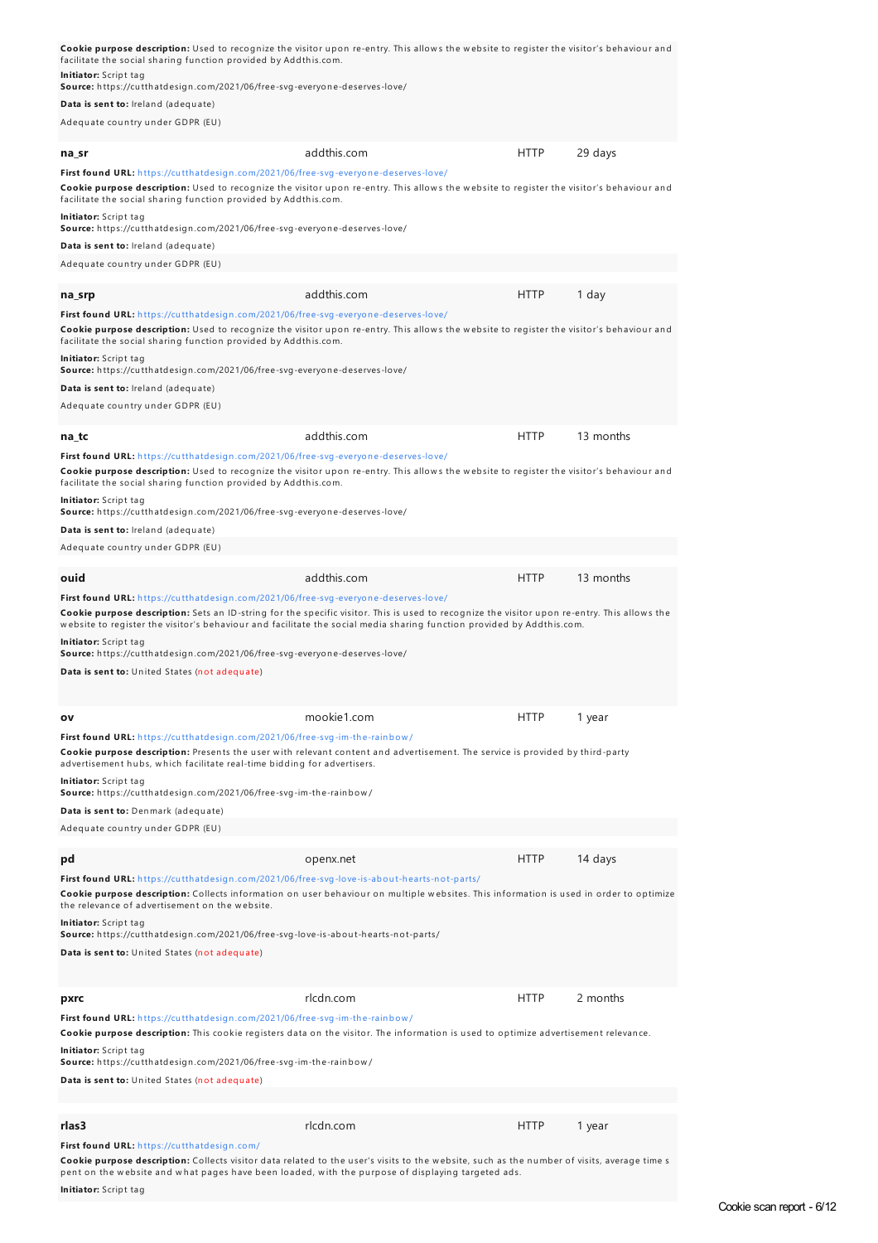| facilitate the social sharing function provided by Addthis.com.                                                                                                                                                                                                                                                             | Cookie purpose description: Used to recognize the visitor upon re-entry. This allows the website to register the visitor's behaviour and |             |           |
|-----------------------------------------------------------------------------------------------------------------------------------------------------------------------------------------------------------------------------------------------------------------------------------------------------------------------------|------------------------------------------------------------------------------------------------------------------------------------------|-------------|-----------|
| Initiator: Script tag<br>Source: https://cutthatdesign.com/2021/06/free-svg-everyone-deserves-love/                                                                                                                                                                                                                         |                                                                                                                                          |             |           |
| Data is sent to: Ireland (adequate)                                                                                                                                                                                                                                                                                         |                                                                                                                                          |             |           |
| Adequate country under GDPR (EU)                                                                                                                                                                                                                                                                                            |                                                                                                                                          |             |           |
| na sr                                                                                                                                                                                                                                                                                                                       | addthis.com                                                                                                                              | <b>HTTP</b> | 29 days   |
| First found URL: https://cutthatdesign.com/2021/06/free-svg-everyone-deserves-love/<br>Cookie purpose description: Used to recognize the visitor upon re-entry. This allows the website to register the visitor's behaviour and<br>facilitate the social sharing function provided by Addthis.com.                          |                                                                                                                                          |             |           |
| Initiator: Script tag<br>Source: https://cutthatdesign.com/2021/06/free-svg-everyone-deserves-love/                                                                                                                                                                                                                         |                                                                                                                                          |             |           |
| Data is sent to: Ireland (adequate)                                                                                                                                                                                                                                                                                         |                                                                                                                                          |             |           |
| Adequate country under GDPR (EU)                                                                                                                                                                                                                                                                                            |                                                                                                                                          |             |           |
| na_srp                                                                                                                                                                                                                                                                                                                      | addthis.com                                                                                                                              | <b>HTTP</b> | 1 day     |
| First found URL: https://cutthatdesign.com/2021/06/free-svg-everyone-deserves-love/<br>Cookie purpose description: Used to recognize the visitor upon re-entry. This allows the website to register the visitor's behaviour and<br>facilitate the social sharing function provided by Addthis.com.<br>Initiator: Script tag |                                                                                                                                          |             |           |
| Source: https://cutthatdesign.com/2021/06/free-svg-everyone-deserves-love/                                                                                                                                                                                                                                                  |                                                                                                                                          |             |           |
| Data is sent to: Ireland (adequate)<br>Adequate country under GDPR (EU)                                                                                                                                                                                                                                                     |                                                                                                                                          |             |           |
| na_tc                                                                                                                                                                                                                                                                                                                       | addthis.com                                                                                                                              | <b>HTTP</b> | 13 months |
| First found URL: https://cutthatdesign.com/2021/06/free-svg-everyone-deserves-love/<br>Cookie purpose description: Used to recognize the visitor upon re-entry. This allows the website to register the visitor's behaviour and<br>facilitate the social sharing function provided by Addthis.com.                          |                                                                                                                                          |             |           |
| Initiator: Script tag<br>Source: https://cutthatdesign.com/2021/06/free-svg-everyone-deserves-love/                                                                                                                                                                                                                         |                                                                                                                                          |             |           |
| Data is sent to: Ireland (adequate)                                                                                                                                                                                                                                                                                         |                                                                                                                                          |             |           |
| Adequate country under GDPR (EU)                                                                                                                                                                                                                                                                                            |                                                                                                                                          |             |           |
| ouid                                                                                                                                                                                                                                                                                                                        | addthis.com                                                                                                                              | <b>HTTP</b> | 13 months |
| First found URL: https://cutthatdesign.com/2021/06/free-svg-everyone-deserves-love/<br>Cookie purpose description: Sets an ID-string for the specific visitor. This is used to recognize the visitor upon re-entry. This allows the                                                                                         |                                                                                                                                          |             |           |
| website to register the visitor's behaviour and facilitate the social media sharing function provided by Addthis.com.                                                                                                                                                                                                       |                                                                                                                                          |             |           |
| Initiator: Script tag<br>Source: https://cutthatdesign.com/2021/06/free-svg-everyone-deserves-love/<br>Data is sent to: United States (not adequate)                                                                                                                                                                        |                                                                                                                                          |             |           |
|                                                                                                                                                                                                                                                                                                                             |                                                                                                                                          |             |           |
| ov                                                                                                                                                                                                                                                                                                                          | mookie1.com                                                                                                                              | <b>HTTP</b> | 1 year    |
| First found URL: https://cutthatdesign.com/2021/06/free-svg-im-the-rainbow/<br>Cookie purpose description: Presents the user with relevant content and advertisement. The service is provided by third-party<br>advertisement hubs, which facilitate real-time bidding for advertisers.                                     |                                                                                                                                          |             |           |
| Initiator: Script tag<br>Source: https://cutthatdesign.com/2021/06/free-svg-im-the-rainbow/                                                                                                                                                                                                                                 |                                                                                                                                          |             |           |
| Data is sent to: Denmark (adequate)                                                                                                                                                                                                                                                                                         |                                                                                                                                          |             |           |
| Adequate country under GDPR (EU)                                                                                                                                                                                                                                                                                            |                                                                                                                                          |             |           |
| pd                                                                                                                                                                                                                                                                                                                          | openx.net                                                                                                                                | <b>HTTP</b> | 14 days   |
| First found URL: https://cutthatdesign.com/2021/06/free-svg-love-is-about-hearts-not-parts/<br>Cookie purpose description: Collects information on user behaviour on multiple websites. This information is used in order to optimize<br>the relevance of advertisement on the website.<br>Initiator: Script tag            |                                                                                                                                          |             |           |
| Source: https://cutthatdesign.com/2021/06/free-svg-love-is-about-hearts-not-parts/<br>Data is sent to: United States (not adequate)                                                                                                                                                                                         |                                                                                                                                          |             |           |
| pxrc                                                                                                                                                                                                                                                                                                                        | rlcdn.com                                                                                                                                | <b>HTTP</b> | 2 months  |
| First found URL: https://cutthatdesign.com/2021/06/free-svg-im-the-rainbow/<br><b>Cookie purpose description:</b> This cookie registers data on the visitor. The information is used to optimize advertisement relevance.<br>Initiator: Script tag                                                                          |                                                                                                                                          |             |           |
| Source: https://cutthatdesign.com/2021/06/free-svg-im-the-rainbow/                                                                                                                                                                                                                                                          |                                                                                                                                          |             |           |
| Data is sent to: United States (not adequate)                                                                                                                                                                                                                                                                               |                                                                                                                                          |             |           |
| rlas3                                                                                                                                                                                                                                                                                                                       | rlcdn.com                                                                                                                                | <b>HTTP</b> | 1 year    |

Cookie purpose description: Collects visitor data related to the user's visits to the website, such as the number of visits, average time s<br>pent on the website and what pages have been loaded, with the purpose of displayin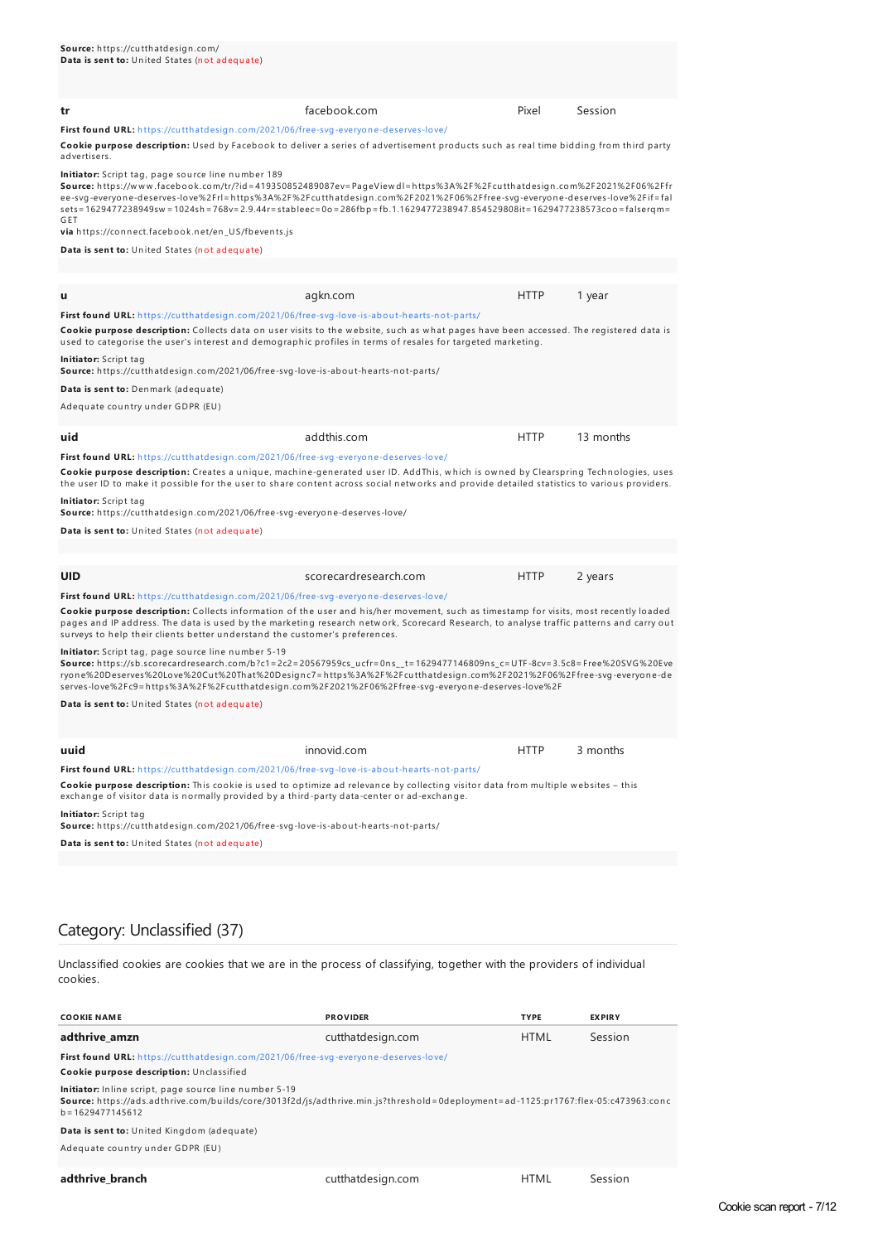| facebook.com                                                                                                                                                                                                                                          | Pixel       | Session                                                                                                                                                                                                                                                                                                                                                                                                                                                                                                                                                                                                                                                                                                                                                                                                               |  |  |  |
|-------------------------------------------------------------------------------------------------------------------------------------------------------------------------------------------------------------------------------------------------------|-------------|-----------------------------------------------------------------------------------------------------------------------------------------------------------------------------------------------------------------------------------------------------------------------------------------------------------------------------------------------------------------------------------------------------------------------------------------------------------------------------------------------------------------------------------------------------------------------------------------------------------------------------------------------------------------------------------------------------------------------------------------------------------------------------------------------------------------------|--|--|--|
|                                                                                                                                                                                                                                                       |             |                                                                                                                                                                                                                                                                                                                                                                                                                                                                                                                                                                                                                                                                                                                                                                                                                       |  |  |  |
| Initiator: Script tag, page source line number 189<br>via https://connect.facebook.net/en_US/fbevents.js                                                                                                                                              |             |                                                                                                                                                                                                                                                                                                                                                                                                                                                                                                                                                                                                                                                                                                                                                                                                                       |  |  |  |
|                                                                                                                                                                                                                                                       |             |                                                                                                                                                                                                                                                                                                                                                                                                                                                                                                                                                                                                                                                                                                                                                                                                                       |  |  |  |
|                                                                                                                                                                                                                                                       |             |                                                                                                                                                                                                                                                                                                                                                                                                                                                                                                                                                                                                                                                                                                                                                                                                                       |  |  |  |
| agkn.com                                                                                                                                                                                                                                              | <b>HTTP</b> | 1 year                                                                                                                                                                                                                                                                                                                                                                                                                                                                                                                                                                                                                                                                                                                                                                                                                |  |  |  |
|                                                                                                                                                                                                                                                       |             |                                                                                                                                                                                                                                                                                                                                                                                                                                                                                                                                                                                                                                                                                                                                                                                                                       |  |  |  |
| Cookie purpose description: Collects data on user visits to the website, such as what pages have been accessed. The registered data is<br>used to categorise the user's interest and demographic profiles in terms of resales for targeted marketing. |             |                                                                                                                                                                                                                                                                                                                                                                                                                                                                                                                                                                                                                                                                                                                                                                                                                       |  |  |  |
|                                                                                                                                                                                                                                                       |             |                                                                                                                                                                                                                                                                                                                                                                                                                                                                                                                                                                                                                                                                                                                                                                                                                       |  |  |  |
|                                                                                                                                                                                                                                                       |             |                                                                                                                                                                                                                                                                                                                                                                                                                                                                                                                                                                                                                                                                                                                                                                                                                       |  |  |  |
|                                                                                                                                                                                                                                                       |             |                                                                                                                                                                                                                                                                                                                                                                                                                                                                                                                                                                                                                                                                                                                                                                                                                       |  |  |  |
|                                                                                                                                                                                                                                                       |             | First found URL: https://cutthatdesign.com/2021/06/free-svg-everyone-deserves-love/<br>Cookie purpose description: Used by Facebook to deliver a series of advertisement products such as real time bidding from third party<br>Source: https://www.facebook.com/tr/?id=419350852489087ev=PageViewdl=https%3A%2F%2Fcutthatdesign.com%2F2021%2F06%2Ffr<br>ee-svg-everyone-deserves-love%2Frl=https%3A%2F%2Fcutthatdesign.com%2F2021%2F06%2Ffree-svg-everyone-deserves-love%2Fif=fal<br>sets = 1629477238949sw = 1024sh = 768v = 2.9.44r = stableec = 0o = 286fbp = fb.1.1629477238947.854529808it = 1629477238573coo = falsergm =<br>First found URL: https://cutthatdesign.com/2021/06/free-svg-love-is-about-hearts-not-parts/<br>Source: https://cutthatdesign.com/2021/06/free-svg-love-is-about-hearts-not-parts/ |  |  |  |

**uid a** addthis.com **HTTP** 13 months

**First found URL:** h ttps://cu tth atdesign [.com/2021/06/free-svg-everyon](https://cutthatdesign.com/2021/06/free-svg-everyone-deserves-love/) e-deserves-love/ Cookie purpose description: Creates a unique, machine-generated user ID. AddThis, which is owned by Clearspring Technologies, uses the user ID to make it possible for the user to share content across social networks and provide detailed statistics to various providers.

**Initiator:** Script tag

**Source:** h ttps://cu tth atdesign .com/2021/06/free-svg-everyon e-deserves-love/

**Data is sent to:** United States (not adequate)

**UID** Scorecardresearch.com HTTP 2 years **First found URL:** h ttps://cu tth atdesign [.com/2021/06/free-svg-everyon](https://cutthatdesign.com/2021/06/free-svg-everyone-deserves-love/) e-deserves-love/ Cookie purpose description: Collects information of the user and his/her movement, such as timestamp for visits, most recently loaded pages and IP address. The data is used by the marketing research network, Scorecard Research, to analyse traffic patterns and carry out<br>surveys to help their clients better understand the customer's preferences. <mark>Initiator:</mark> Script tag, page source line number 5-19<br>**Source:** https://sb.scorecardresearch.com/b?c1=2c2=20567959cs\_ucfr=0ns\_\_t=1629477146809ns\_c=UTF-8cv=3.5c8=Free%20SVG%20Eve ryon e%20Deserves%20Love%20Cu t%20Th at%20Design c7=h ttps%3A%2F%2Fcu tth atdesign .com%2F2021%2F06%2Ffree-svg-everyon e-de serves-love%2Fc9=h ttps%3A%2F%2Fcu tth atdesign .com%2F2021%2F06%2Ffree-svg-everyon e-deserves-love%2F **Data is sent to:** United States (not adequate) **uuid innovid.com innovid.com HTTP** 3 months **First found URL:** h ttps://cu tth atdesign [.com/2021/06/free-svg-love-is-abou](https://cutthatdesign.com/2021/06/free-svg-love-is-about-hearts-not-parts/) t-h earts-n ot-parts/ **Cookie purpose description:** This cookie is used to optimize ad relevance by collecting visitor data from multiple websites - this exchange of visitor data is normally provided by a third-party data-center or ad-exchange.

**Initiator:** Script tag

**Source:** h ttps://cu tth atdesign .com/2021/06/free-svg-love-is-abou t-h earts-n ot-parts/

**Data is sent to:** United States (not adequate)

## Category: Unclassified (37)

Unclassified cookies are cookies that we are in the process of classifying, together with the providers of individual cookies.

| <b>COOKIE NAME</b>                                                                                                                                                                                                 | <b>PROVIDER</b>   | <b>TYPE</b> | <b>EXPIRY</b> |  |
|--------------------------------------------------------------------------------------------------------------------------------------------------------------------------------------------------------------------|-------------------|-------------|---------------|--|
| adthrive amzn                                                                                                                                                                                                      | cutthatdesign.com | <b>HTML</b> | Session       |  |
| First found URL: https://cutthatdesign.com/2021/06/free-svg-everyone-deserves-love/                                                                                                                                |                   |             |               |  |
| Cookie purpose description: Unclassified                                                                                                                                                                           |                   |             |               |  |
| Initiator: Inline script, page source line number 5-19<br>Source: https://ads.adthrive.com/builds/core/3013f2d/js/adthrive.min.js?threshold=0deployment=ad-1125:pr1767:flex-05:c473963:conc<br>$b = 1629477145612$ |                   |             |               |  |
| Data is sent to: United Kingdom (adequate)                                                                                                                                                                         |                   |             |               |  |
| Adequate country under GDPR (EU)                                                                                                                                                                                   |                   |             |               |  |
| adthrive branch                                                                                                                                                                                                    | cutthatdesign.com | <b>HTML</b> | Session       |  |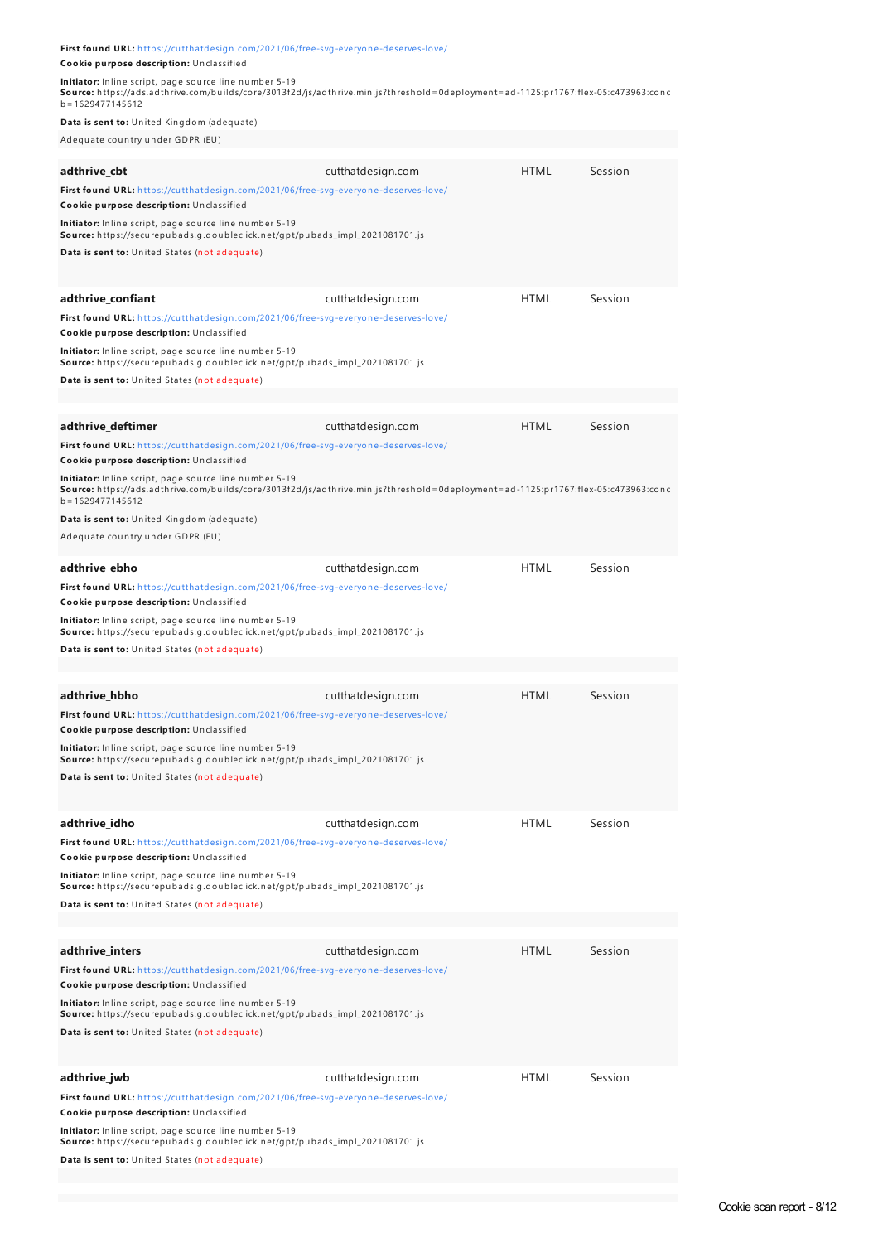| First found URL: https://cutthatdesign.com/2021/06/free-svg-everyone-deserves-love/                                                                                                                                |                   |             |         |
|--------------------------------------------------------------------------------------------------------------------------------------------------------------------------------------------------------------------|-------------------|-------------|---------|
| Cookie purpose description: Unclassified                                                                                                                                                                           |                   |             |         |
| Initiator: Inline script, page source line number 5-19<br>Source: https://ads.adthrive.com/builds/core/3013f2d/js/adthrive.min.js?threshold=0deployment=ad-1125:pr1767:flex-05:c473963:conc<br>$b = 1629477145612$ |                   |             |         |
| Data is sent to: United Kingdom (adequate)                                                                                                                                                                         |                   |             |         |
| Adequate country under GDPR (EU)                                                                                                                                                                                   |                   |             |         |
| adthrive_cbt                                                                                                                                                                                                       | cutthatdesign.com | <b>HTML</b> | Session |
| First found URL: https://cutthatdesign.com/2021/06/free-svg-everyone-deserves-love/<br>Cookie purpose description: Unclassified                                                                                    |                   |             |         |
| Initiator: Inline script, page source line number 5-19<br>Source: https://securepubads.g.doubleclick.net/gpt/pubads_impl_2021081701.js<br>Data is sent to: United States (not adequate)                            |                   |             |         |
| adthrive_confiant                                                                                                                                                                                                  | cutthatdesign.com | <b>HTML</b> | Session |
| First found URL: https://cutthatdesign.com/2021/06/free-svg-everyone-deserves-love/                                                                                                                                |                   |             |         |
| Cookie purpose description: Unclassified<br>Initiator: Inline script, page source line number 5-19                                                                                                                 |                   |             |         |
| Source: https://securepubads.g.doubleclick.net/gpt/pubads_impl_2021081701.js<br>Data is sent to: United States (not adequate)                                                                                      |                   |             |         |
| adthrive deftimer                                                                                                                                                                                                  | cutthatdesign.com | <b>HTML</b> | Session |
| First found URL: https://cutthatdesign.com/2021/06/free-svg-everyone-deserves-love/<br>Cookie purpose description: Unclassified                                                                                    |                   |             |         |
| Initiator: Inline script, page source line number 5-19<br>Source: https://ads.adthrive.com/builds/core/3013f2d/js/adthrive.min.js?threshold=0deployment=ad-1125:pr1767:flex-05:c473963:conc<br>$b = 1629477145612$ |                   |             |         |
| Data is sent to: United Kingdom (adequate)                                                                                                                                                                         |                   |             |         |
| Adequate country under GDPR (EU)                                                                                                                                                                                   |                   |             |         |
| adthrive_ebho                                                                                                                                                                                                      | cutthatdesign.com | <b>HTML</b> | Session |
| First found URL: https://cutthatdesign.com/2021/06/free-svg-everyone-deserves-love/<br>Cookie purpose description: Unclassified                                                                                    |                   |             |         |
| Initiator: Inline script, page source line number 5-19<br>Source: https://securepubads.g.doubleclick.net/gpt/pubads_impl_2021081701.js                                                                             |                   |             |         |
| Data is sent to: United States (not adequate)                                                                                                                                                                      |                   |             |         |
| adthrive_hbho                                                                                                                                                                                                      | cutthatdesign.com | <b>HTML</b> | Session |
| First found URL: https://cutthatdesign.com/2021/06/free-svg-everyone-deserves-love/                                                                                                                                |                   |             |         |
| Cookie purpose description: Unclassified                                                                                                                                                                           |                   |             |         |
| Initiator: Inline script, page source line number 5-19<br>Source: https://securepubads.g.doubleclick.net/gpt/pubads_impl_2021081701.js<br>Data is sent to: United States (not adequate)                            |                   |             |         |
|                                                                                                                                                                                                                    |                   |             |         |
| adthrive_idho                                                                                                                                                                                                      | cutthatdesign.com | <b>HTML</b> | Session |
| First found URL: https://cutthatdesign.com/2021/06/free-svg-everyone-deserves-love/<br>Cookie purpose description: Unclassified                                                                                    |                   |             |         |
| Initiator: Inline script, page source line number 5-19<br>Source: https://securepubads.g.doubleclick.net/gpt/pubads_impl_2021081701.js                                                                             |                   |             |         |
| Data is sent to: United States (not adequate)                                                                                                                                                                      |                   |             |         |
|                                                                                                                                                                                                                    |                   |             |         |
| adthrive_inters                                                                                                                                                                                                    | cutthatdesign.com | <b>HTML</b> | Session |
| First found URL: https://cutthatdesign.com/2021/06/free-svg-everyone-deserves-love/<br>Cookie purpose description: Unclassified                                                                                    |                   |             |         |
| Initiator: Inline script, page source line number 5-19<br>Source: https://securepubads.g.doubleclick.net/gpt/pubads_impl_2021081701.js<br>Data is sent to: United States (not adequate)                            |                   |             |         |
| adthrive_jwb                                                                                                                                                                                                       | cutthatdesign.com | <b>HTML</b> | Session |
| First found URL: https://cutthatdesign.com/2021/06/free-svg-everyone-deserves-love/<br>Cookie purpose description: Unclassified                                                                                    |                   |             |         |
| Initiator: Inline script, page source line number 5-19<br>Source: https://securepubads.g.doubleclick.net/gpt/pubads_impl_2021081701.js<br>Data is sent to: United States (not adequate)                            |                   |             |         |
|                                                                                                                                                                                                                    |                   |             |         |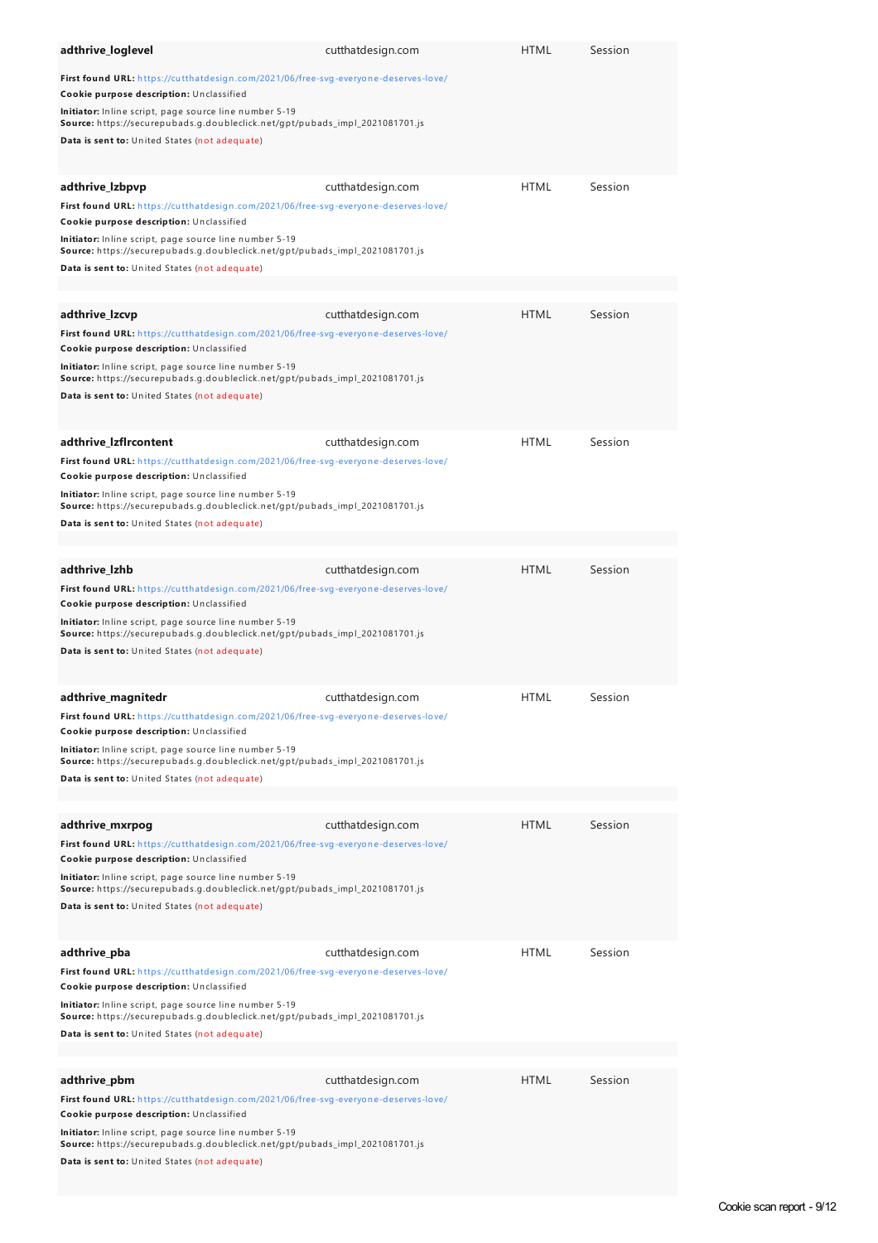| adthrive_loglevel                                                                                                                                                                       | cutthatdesign.com | <b>HTML</b> | Session |
|-----------------------------------------------------------------------------------------------------------------------------------------------------------------------------------------|-------------------|-------------|---------|
| First found URL: https://cutthatdesign.com/2021/06/free-svg-everyone-deserves-love/<br>Cookie purpose description: Unclassified                                                         |                   |             |         |
| Initiator: Inline script, page source line number 5-19<br>Source: https://securepubads.g.doubleclick.net/gpt/pubads_impl_2021081701.js<br>Data is sent to: United States (not adequate) |                   |             |         |
|                                                                                                                                                                                         |                   |             |         |
| adthrive_Izbpvp                                                                                                                                                                         | cutthatdesign.com | <b>HTML</b> | Session |
| First found URL: https://cutthatdesign.com/2021/06/free-svg-everyone-deserves-love/<br>Cookie purpose description: Unclassified                                                         |                   |             |         |
| Initiator: Inline script, page source line number 5-19<br>Source: https://securepubads.g.doubleclick.net/gpt/pubads_impl_2021081701.js<br>Data is sent to: United States (not adequate) |                   |             |         |
|                                                                                                                                                                                         |                   |             |         |
| adthrive_Izcvp                                                                                                                                                                          | cutthatdesign.com | <b>HTML</b> | Session |
| First found URL: https://cutthatdesign.com/2021/06/free-svg-everyone-deserves-love/<br>Cookie purpose description: Unclassified                                                         |                   |             |         |
| Initiator: Inline script, page source line number 5-19<br>Source: https://securepubads.g.doubleclick.net/gpt/pubads_impl_2021081701.js<br>Data is sent to: United States (not adequate) |                   |             |         |
| adthrive_Izflrcontent                                                                                                                                                                   | cutthatdesign.com | <b>HTML</b> | Session |
| First found URL: https://cutthatdesign.com/2021/06/free-svg-everyone-deserves-love/<br>Cookie purpose description: Unclassified                                                         |                   |             |         |
| Initiator: Inline script, page source line number 5-19<br>Source: https://securepubads.g.doubleclick.net/gpt/pubads_impl_2021081701.js                                                  |                   |             |         |
| Data is sent to: United States (not adequate)                                                                                                                                           |                   |             |         |
| adthrive_lzhb                                                                                                                                                                           | cutthatdesign.com | <b>HTML</b> | Session |
| First found URL: https://cutthatdesign.com/2021/06/free-svg-everyone-deserves-love/<br>Cookie purpose description: Unclassified                                                         |                   |             |         |
| Initiator: Inline script, page source line number 5-19<br>Source: https://securepubads.g.doubleclick.net/gpt/pubads_impl_2021081701.js                                                  |                   |             |         |
| Data is sent to: United States (not adequate)                                                                                                                                           |                   |             |         |
| adthrive magnitedr                                                                                                                                                                      | cutthatdesign.com | <b>HTML</b> | Session |
| First found URL: https://cutthatdesign.com/2021/06/free-svg-everyone-deserves-love/<br>Cookie purpose description: Unclassified                                                         |                   |             |         |
| Initiator: Inline script, page source line number 5-19<br>Source: https://securepubads.g.doubleclick.net/gpt/pubads_impl_2021081701.js<br>Data is sent to: United States (not adequate) |                   |             |         |
|                                                                                                                                                                                         |                   |             |         |
| adthrive_mxrpog                                                                                                                                                                         | cutthatdesign.com | <b>HTML</b> | Session |
| First found URL: https://cutthatdesign.com/2021/06/free-svg-everyone-deserves-love/<br>Cookie purpose description: Unclassified                                                         |                   |             |         |
| Initiator: Inline script, page source line number 5-19<br>Source: https://securepubads.g.doubleclick.net/gpt/pubads_impl_2021081701.js                                                  |                   |             |         |
| Data is sent to: United States (not adequate)                                                                                                                                           |                   |             |         |
| adthrive_pba                                                                                                                                                                            | cutthatdesign.com | <b>HTML</b> | Session |
| First found URL: https://cutthatdesign.com/2021/06/free-svg-everyone-deserves-love/<br>Cookie purpose description: Unclassified                                                         |                   |             |         |
| Initiator: Inline script, page source line number 5-19<br>Source: https://securepubads.g.doubleclick.net/gpt/pubads_impl_2021081701.js                                                  |                   |             |         |
| Data is sent to: United States (not adequate)                                                                                                                                           |                   |             |         |
| adthrive_pbm                                                                                                                                                                            | cutthatdesign.com | <b>HTML</b> | Session |
| First found URL: https://cutthatdesign.com/2021/06/free-svg-everyone-deserves-love/                                                                                                     |                   |             |         |
| Cookie purpose description: Unclassified                                                                                                                                                |                   |             |         |
| Initiator: Inline script, page source line number 5-19<br>Source: https://securepubads.g.doubleclick.net/gpt/pubads_impl_2021081701.js                                                  |                   |             |         |
| Data is sent to: United States (not adequate)                                                                                                                                           |                   |             |         |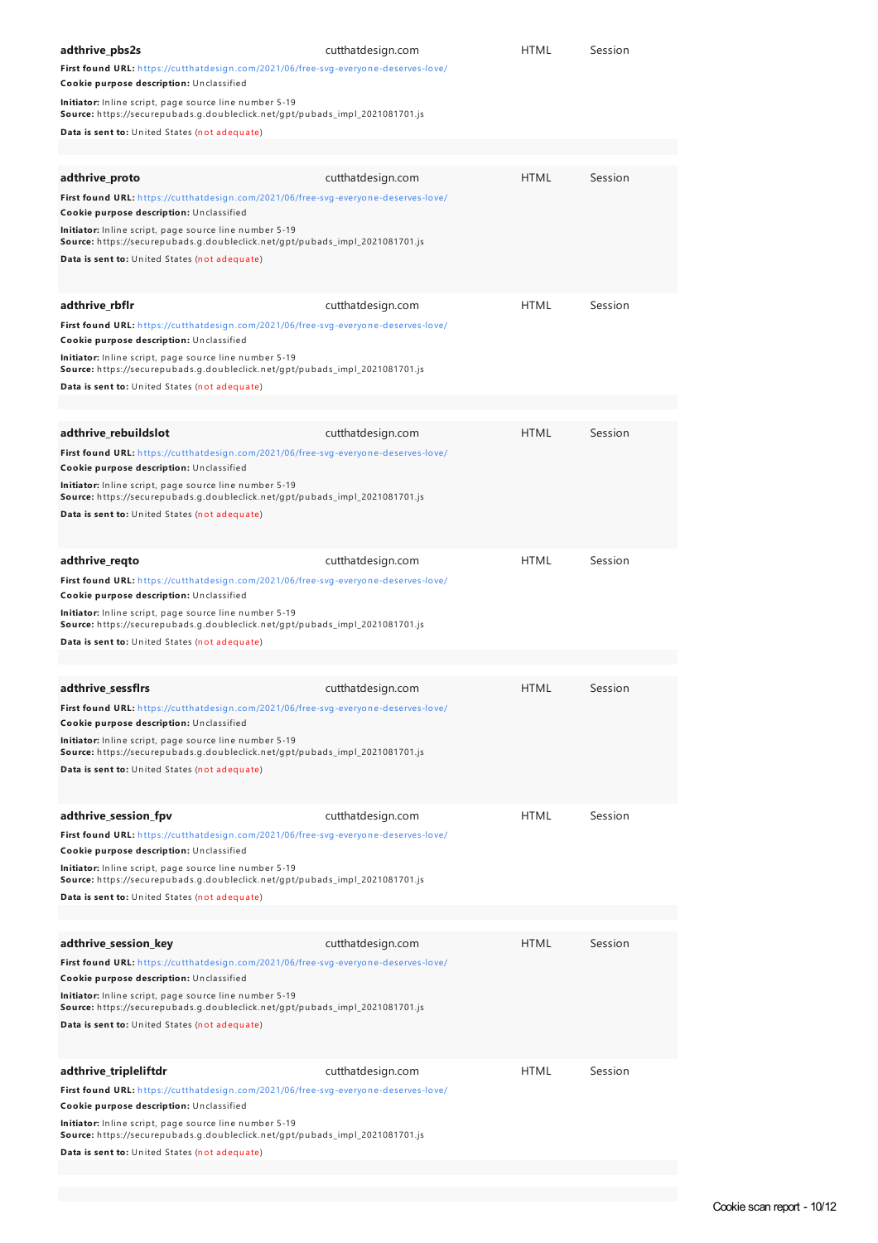| adthrive_pbs2s<br>First found URL: https://cutthatdesign.com/2021/06/free-svg-everyone-deserves-love/<br>Cookie purpose description: Unclassified<br><b>Initiator:</b> Inline script, page source line number 5-19                                                                                                                                        | cutthatdesign.com | <b>HTML</b> | Session |
|-----------------------------------------------------------------------------------------------------------------------------------------------------------------------------------------------------------------------------------------------------------------------------------------------------------------------------------------------------------|-------------------|-------------|---------|
| Source: https://securepubads.g.doubleclick.net/gpt/pubads_impl_2021081701.js<br>Data is sent to: United States (not adequate)                                                                                                                                                                                                                             |                   |             |         |
| adthrive_proto<br>First found URL: https://cutthatdesign.com/2021/06/free-svg-everyone-deserves-love/                                                                                                                                                                                                                                                     | cutthatdesign.com | <b>HTML</b> | Session |
| Cookie purpose description: Unclassified<br>Initiator: Inline script, page source line number 5-19<br>Source: https://securepubads.g.doubleclick.net/gpt/pubads_impl_2021081701.js<br>Data is sent to: United States (not adequate)                                                                                                                       |                   |             |         |
| adthrive_rbflr<br>First found URL: https://cutthatdesign.com/2021/06/free-svg-everyone-deserves-love/<br>Cookie purpose description: Unclassified<br>Initiator: Inline script, page source line number 5-19<br>Source: https://securepubads.g.doubleclick.net/gpt/pubads_impl_2021081701.js<br>Data is sent to: United States (not adequate)              | cutthatdesign.com | HTML        | Session |
|                                                                                                                                                                                                                                                                                                                                                           |                   |             |         |
| adthrive_rebuildslot<br>First found URL: https://cutthatdesign.com/2021/06/free-svg-everyone-deserves-love/<br>Cookie purpose description: Unclassified<br>Initiator: Inline script, page source line number 5-19<br><b>Source:</b> https://securepubads.g.doubleclick.net/gpt/pubads_impl_2021081701.js<br>Data is sent to: United States (not adequate) | cutthatdesign.com | <b>HTML</b> | Session |
| adthrive_reqto<br>First found URL: https://cutthatdesign.com/2021/06/free-svg-everyone-deserves-love/<br>Cookie purpose description: Unclassified<br>Initiator: Inline script, page source line number 5-19<br>Source: https://securepubads.g.doubleclick.net/gpt/pubads_impl_2021081701.js<br>Data is sent to: United States (not adequate)              | cutthatdesign.com | <b>HTML</b> | Session |
|                                                                                                                                                                                                                                                                                                                                                           |                   |             |         |
| adthrive sessfirs<br>First found URL: https://cutthatdesign.com/2021/06/free-svg-everyone-deserves-love/<br>Cookie purpose description: Unclassified<br>Initiator: Inline script, page source line number 5-19<br>Source: https://securepubads.g.doubleclick.net/gpt/pubads_impl_2021081701.js<br>Data is sent to: United States (not adequate)           | cutthatdesign.com | <b>HTML</b> | Session |
| adthrive_session_fpv<br>First found URL: https://cutthatdesign.com/2021/06/free-svg-everyone-deserves-love/<br>Cookie purpose description: Unclassified<br>Initiator: Inline script, page source line number 5-19<br>Source: https://securepubads.g.doubleclick.net/gpt/pubads_impl_2021081701.js<br>Data is sent to: United States (not adequate)        | cutthatdesign.com | <b>HTML</b> | Session |
| adthrive_session_key                                                                                                                                                                                                                                                                                                                                      | cutthatdesign.com | <b>HTML</b> | Session |
| First found URL: https://cutthatdesign.com/2021/06/free-svg-everyone-deserves-love/<br>Cookie purpose description: Unclassified<br>Initiator: Inline script, page source line number 5-19<br>Source: https://securepubads.g.doubleclick.net/gpt/pubads_impl_2021081701.js<br>Data is sent to: United States (not adequate)                                |                   |             |         |
| adthrive_tripleliftdr<br>First found URL: https://cutthatdesign.com/2021/06/free-svg-everyone-deserves-love/<br>Cookie purpose description: Unclassified<br>Initiator: Inline script, page source line number 5-19<br>Source: https://securepubads.g.doubleclick.net/gpt/pubads_impl_2021081701.js<br>Data is sent to: United States (not adequate)       | cutthatdesign.com | <b>HTML</b> | Session |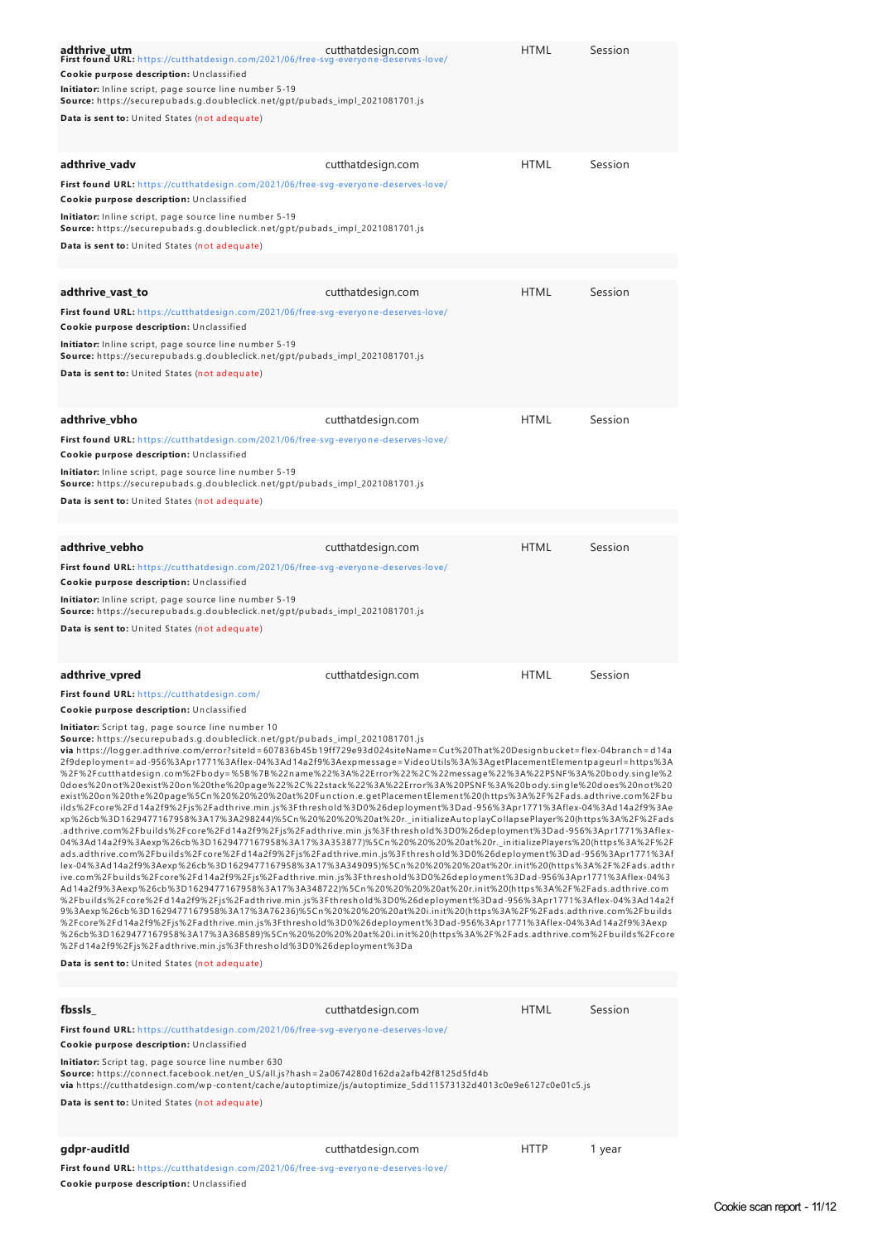| adthrive utm<br>First found URL: https://cutthatdesign.com/2021/06/free-svg-everyone-deserves-love/<br>Cookie purpose description: Unclassified<br>Initiator: Inline script, page source line number 5-19<br>Source: https://securepubads.g.doubleclick.net/gpt/pubads_impl_2021081701.js<br>Data is sent to: United States (not adequate)                                                                                                                                                                                                                                                                                                                                                                                                                                                                                                                                                                                                                                                                                                                                                                                                                                                                                                                                                                                                                                                                                                                                                                                                                                                                                                                                                                                                                                                                                                                                                                                                                                                                                                                                                                                                                                                                                                                                                                                                                                                                                                                                                                       | cutthatdesign.com | <b>HTML</b> | Session |  |
|------------------------------------------------------------------------------------------------------------------------------------------------------------------------------------------------------------------------------------------------------------------------------------------------------------------------------------------------------------------------------------------------------------------------------------------------------------------------------------------------------------------------------------------------------------------------------------------------------------------------------------------------------------------------------------------------------------------------------------------------------------------------------------------------------------------------------------------------------------------------------------------------------------------------------------------------------------------------------------------------------------------------------------------------------------------------------------------------------------------------------------------------------------------------------------------------------------------------------------------------------------------------------------------------------------------------------------------------------------------------------------------------------------------------------------------------------------------------------------------------------------------------------------------------------------------------------------------------------------------------------------------------------------------------------------------------------------------------------------------------------------------------------------------------------------------------------------------------------------------------------------------------------------------------------------------------------------------------------------------------------------------------------------------------------------------------------------------------------------------------------------------------------------------------------------------------------------------------------------------------------------------------------------------------------------------------------------------------------------------------------------------------------------------------------------------------------------------------------------------------------------------|-------------------|-------------|---------|--|
| adthrive_vadv<br>First found URL: https://cutthatdesign.com/2021/06/free-svg-everyone-deserves-love/<br>Cookie purpose description: Unclassified<br>Initiator: Inline script, page source line number 5-19<br>Source: https://securepubads.g.doubleclick.net/gpt/pubads_impl_2021081701.js<br>Data is sent to: United States (not adequate)                                                                                                                                                                                                                                                                                                                                                                                                                                                                                                                                                                                                                                                                                                                                                                                                                                                                                                                                                                                                                                                                                                                                                                                                                                                                                                                                                                                                                                                                                                                                                                                                                                                                                                                                                                                                                                                                                                                                                                                                                                                                                                                                                                      | cutthatdesign.com | <b>HTML</b> | Session |  |
|                                                                                                                                                                                                                                                                                                                                                                                                                                                                                                                                                                                                                                                                                                                                                                                                                                                                                                                                                                                                                                                                                                                                                                                                                                                                                                                                                                                                                                                                                                                                                                                                                                                                                                                                                                                                                                                                                                                                                                                                                                                                                                                                                                                                                                                                                                                                                                                                                                                                                                                  |                   |             |         |  |
| adthrive vast to<br>First found URL: https://cutthatdesign.com/2021/06/free-svg-everyone-deserves-love/<br>Cookie purpose description: Unclassified<br>Initiator: Inline script, page source line number 5-19<br>Source: https://securepubads.g.doubleclick.net/gpt/pubads_impl_2021081701.js<br>Data is sent to: United States (not adequate)                                                                                                                                                                                                                                                                                                                                                                                                                                                                                                                                                                                                                                                                                                                                                                                                                                                                                                                                                                                                                                                                                                                                                                                                                                                                                                                                                                                                                                                                                                                                                                                                                                                                                                                                                                                                                                                                                                                                                                                                                                                                                                                                                                   | cutthatdesign.com | <b>HTML</b> | Session |  |
| adthrive vbho<br>First found URL: https://cutthatdesign.com/2021/06/free-svg-everyone-deserves-love/<br>Cookie purpose description: Unclassified<br>Initiator: Inline script, page source line number 5-19<br>Source: https://securepubads.g.doubleclick.net/gpt/pubads_impl_2021081701.js<br>Data is sent to: United States (not adequate)                                                                                                                                                                                                                                                                                                                                                                                                                                                                                                                                                                                                                                                                                                                                                                                                                                                                                                                                                                                                                                                                                                                                                                                                                                                                                                                                                                                                                                                                                                                                                                                                                                                                                                                                                                                                                                                                                                                                                                                                                                                                                                                                                                      | cutthatdesign.com | <b>HTML</b> | Session |  |
|                                                                                                                                                                                                                                                                                                                                                                                                                                                                                                                                                                                                                                                                                                                                                                                                                                                                                                                                                                                                                                                                                                                                                                                                                                                                                                                                                                                                                                                                                                                                                                                                                                                                                                                                                                                                                                                                                                                                                                                                                                                                                                                                                                                                                                                                                                                                                                                                                                                                                                                  |                   |             |         |  |
| adthrive_vebho<br>First found URL: https://cutthatdesign.com/2021/06/free-svg-everyone-deserves-love/<br>Cookie purpose description: Unclassified<br>Initiator: Inline script, page source line number 5-19<br>Source: https://securepubads.g.doubleclick.net/gpt/pubads_impl_2021081701.js<br>Data is sent to: United States (not adequate)                                                                                                                                                                                                                                                                                                                                                                                                                                                                                                                                                                                                                                                                                                                                                                                                                                                                                                                                                                                                                                                                                                                                                                                                                                                                                                                                                                                                                                                                                                                                                                                                                                                                                                                                                                                                                                                                                                                                                                                                                                                                                                                                                                     | cutthatdesign.com | <b>HTML</b> | Session |  |
| <b>HTML</b><br>Session<br>adthrive_vpred<br>cutthatdesign.com<br>First found URL: https://cutthatdesign.com/<br><b>Cookie purpose description:</b> Unclassified<br><b>Initiator:</b> Script tag, page source line number 10<br>Source: https://securepubads.q.doubleclick.net/gpt/pubads_impl_2021081701.js<br>via https://logger.adthrive.com/error?siteId=607836b45b19ff729e93d024siteName=Cut%20That%20Designbucket=flex-04branch=d14a<br>2f9deployment=ad-956%3Apr1771%3Aflex-04%3Ad14a2f9%3Aexpmessage=VideoUtils%3A%3AgetPlacementElementpageurl=https%3A<br>%2F%2Fcutthatdesign.com%2Fbody=%5B%7B%22name%22%3A%22Error%22%2C%22message%22%3A%22PSNF%3A%20body.single%2<br>0does%20not%20exist%20on%20the%20page%22%2C%22stack%22%3A%22Error%3A%20PSNF%3A%20body.single%20does%20not%20<br>exist%20on%20the%20page%5Cn%20%20%20%20at%20Function.e.getPlacementElement%20(https%3A%2F%2Fads.adthrive.com%2Fbu<br>ilds%2Fcore%2Fd14a2f9%2Fjs%2Fadthrive.min.js%3Fthreshold%3D0%26deployment%3Dad-956%3Apr1771%3Aflex-04%3Ad14a2f9%3Ae<br>xp%26cb%3D1629477167958%3A17%3A298244)%5Cn%20%20%20%20at%20r._initializeAutoplayCollapsePlayer%20(https%3A%2F%2Fads<br>.adthrive.com%2Fbuilds%2Fcore%2Fd14a2f9%2Fjs%2Fadthrive.min.js%3Fthreshold%3D0%26deployment%3Dad-956%3Apr1771%3Aflex-<br>04%3Ad14a2f9%3Aexp%26cb%3D1629477167958%3A17%3A353877)%5Cn%20%20%20%20at%20r._initializePlayers%20(https%3A%2F%2F<br>ads.adthrive.com%2Fbuilds%2Fcore%2Fd14a2f9%2Fjs%2Fadthrive.min.js%3Fthreshold%3D0%26deployment%3Dad-956%3Apr1771%3Af<br>lex-04%3Ad14a2f9%3Aexp%26cb%3D1629477167958%3A17%3A349095)%5Cn%20%20%20%20at%20r.init%20(https%3A%2F%2Fads.adthr<br>ive.com%2Fbuilds%2Fcore%2Fd14a2f9%2Fjs%2Fadthrive.min.js%3Fthreshold%3D0%26deployment%3Dad-956%3Apr1771%3Aflex-04%3<br>Ad14a2f9%3Aexp%26cb%3D1629477167958%3A17%3A348722)%5Cn%20%20%20%20at%20r.init%20(https%3A%2F%2Fads.adthrive.com<br>%2Fbuilds%2Fcore%2Fd14a2f9%2Fjs%2Fadthrive.min.js%3Fthreshold%3D0%26deployment%3Dad-956%3Apr1771%3Aflex-04%3Ad14a2f<br>9%3Aexp%26cb%3D1629477167958%3A17%3A76236)%5Cn%20%20%20%20at%20i.init%20(https%3A%2F%2Fads.adthrive.com%2Fbuilds<br>%2Fcore%2Fd14a2f9%2Fjs%2Fadthrive.min.js%3Fthreshold%3D0%26deployment%3Dad-956%3Apr1771%3Aflex-04%3Ad14a2f9%3Aexp<br>%26cb%3D1629477167958%3A17%3A368589)%5Cn%20%20%20%20at%20i.init%20(https%3A%2F%2Fads.adthrive.com%2Fbuilds%2Fcore<br>%2Fd14a2f9%2Fjs%2Fadthrive.min.js%3Fthreshold%3D0%26deployment%3Da<br>Data is sent to: United States (not adequate) |                   |             |         |  |
| fbssls                                                                                                                                                                                                                                                                                                                                                                                                                                                                                                                                                                                                                                                                                                                                                                                                                                                                                                                                                                                                                                                                                                                                                                                                                                                                                                                                                                                                                                                                                                                                                                                                                                                                                                                                                                                                                                                                                                                                                                                                                                                                                                                                                                                                                                                                                                                                                                                                                                                                                                           | cutthatdesign.com | <b>HTML</b> | Session |  |
| First found URL: https://cutthatdesign.com/2021/06/free-svg-everyone-deserves-love/<br>Cookie purpose description: Unclassified<br>Initiator: Script tag, page source line number 630<br>Source: https://connect.facebook.net/en_US/all.js?hash=2a0674280d162da2afb42f8125d5fd4b<br>via https://cutthatdesign.com/wp-content/cache/autoptimize/js/autoptimize_5dd11573132d4013c0e9e6127c0e01c5.js<br>Data is sent to: United States (not adequate)                                                                                                                                                                                                                                                                                                                                                                                                                                                                                                                                                                                                                                                                                                                                                                                                                                                                                                                                                                                                                                                                                                                                                                                                                                                                                                                                                                                                                                                                                                                                                                                                                                                                                                                                                                                                                                                                                                                                                                                                                                                               |                   |             |         |  |
| gdpr-auditId                                                                                                                                                                                                                                                                                                                                                                                                                                                                                                                                                                                                                                                                                                                                                                                                                                                                                                                                                                                                                                                                                                                                                                                                                                                                                                                                                                                                                                                                                                                                                                                                                                                                                                                                                                                                                                                                                                                                                                                                                                                                                                                                                                                                                                                                                                                                                                                                                                                                                                     | cutthatdesign.com | <b>HTTP</b> | 1 year  |  |

**First found URL:** h ttps://cu tth atdesign [.com/2021/06/free-svg-everyon](https://cutthatdesign.com/2021/06/free-svg-everyone-deserves-love/) e-deserves-love/ **Cookie purpose description:** Un classified